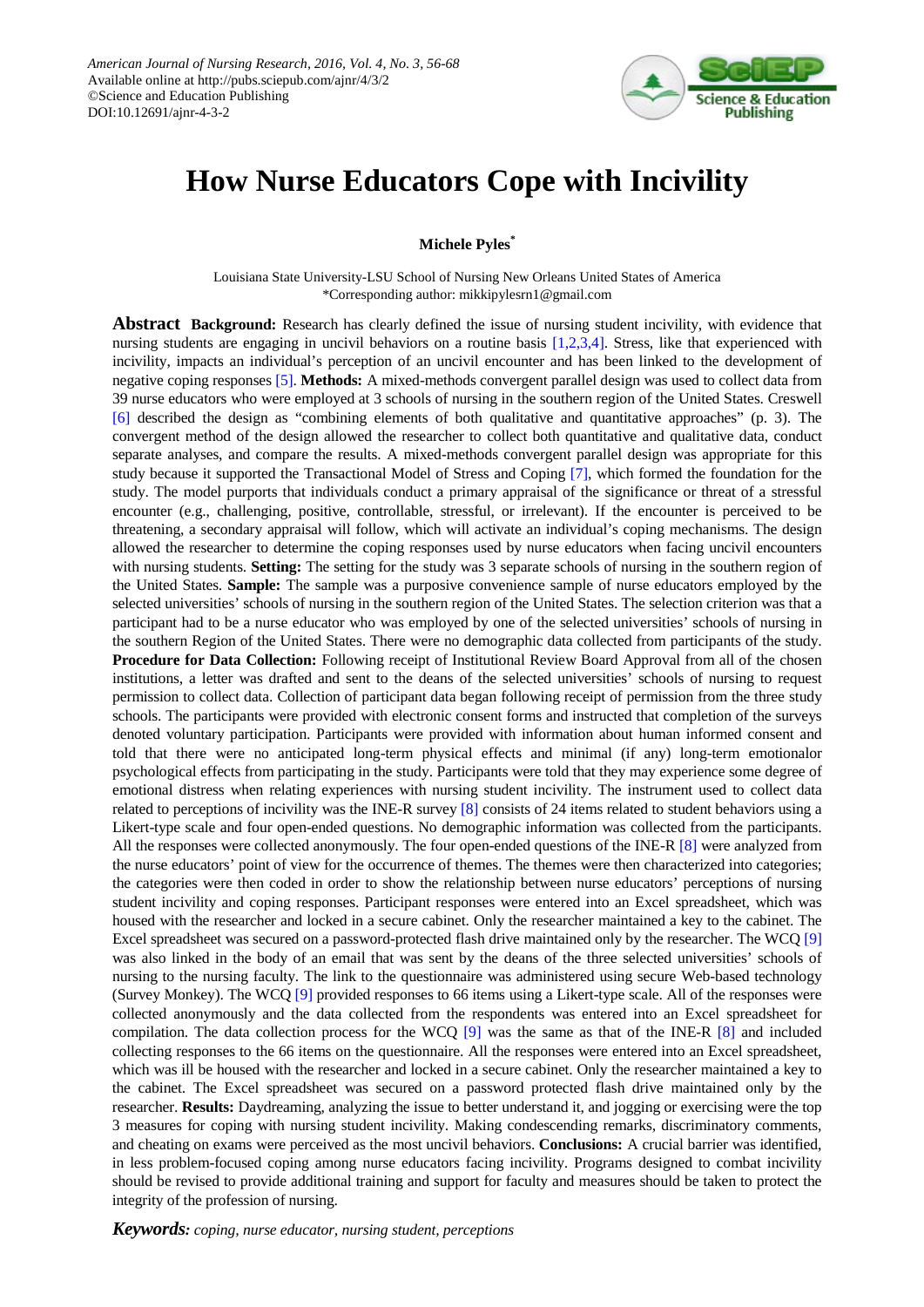

# **How Nurse Educators Cope with Incivility**

**Michele Pyles\***

Louisiana State University-LSU School of Nursing New Orleans United States of America \*Corresponding author: mikkipylesrn1@gmail.com

**Abstract Background:** Research has clearly defined the issue of nursing student incivility, with evidence that nursing students are engaging in uncivil behaviors on a routine basis [\[1,2,3,4\].](#page-11-0) Stress, like that experienced with incivility, impacts an individual's perception of an uncivil encounter and has been linked to the development of negative coping responses [\[5\].](#page-11-1) **Methods:** A mixed-methods convergent parallel design was used to collect data from 39 nurse educators who were employed at 3 schools of nursing in the southern region of the United States. Creswell [\[6\]](#page-11-2) described the design as "combining elements of both qualitative and quantitative approaches" (p. 3). The convergent method of the design allowed the researcher to collect both quantitative and qualitative data, conduct separate analyses, and compare the results. A mixed-methods convergent parallel design was appropriate for this study because it supported the Transactional Model of Stress and Coping [\[7\],](#page-11-3) which formed the foundation for the study. The model purports that individuals conduct a primary appraisal of the significance or threat of a stressful encounter (e.g., challenging, positive, controllable, stressful, or irrelevant). If the encounter is perceived to be threatening, a secondary appraisal will follow, which will activate an individual's coping mechanisms. The design allowed the researcher to determine the coping responses used by nurse educators when facing uncivil encounters with nursing students. **Setting:** The setting for the study was 3 separate schools of nursing in the southern region of the United States. **Sample:** The sample was a purposive convenience sample of nurse educators employed by the selected universities' schools of nursing in the southern region of the United States. The selection criterion was that a participant had to be a nurse educator who was employed by one of the selected universities' schools of nursing in the southern Region of the United States. There were no demographic data collected from participants of the study. **Procedure for Data Collection:** Following receipt of Institutional Review Board Approval from all of the chosen institutions, a letter was drafted and sent to the deans of the selected universities' schools of nursing to request permission to collect data. Collection of participant data began following receipt of permission from the three study schools. The participants were provided with electronic consent forms and instructed that completion of the surveys denoted voluntary participation. Participants were provided with information about human informed consent and told that there were no anticipated long-term physical effects and minimal (if any) long-term emotionalor psychological effects from participating in the study. Participants were told that they may experience some degree of emotional distress when relating experiences with nursing student incivility. The instrument used to collect data related to perceptions of incivility was the INE-R survey [\[8\]](#page-11-4) consists of 24 items related to student behaviors using a Likert-type scale and four open-ended questions. No demographic information was collected from the participants. All the responses were collected anonymously. The four open-ended questions of the INE-R [\[8\]](#page-11-4) were analyzed from the nurse educators' point of view for the occurrence of themes. The themes were then characterized into categories; the categories were then coded in order to show the relationship between nurse educators' perceptions of nursing student incivility and coping responses. Participant responses were entered into an Excel spreadsheet, which was housed with the researcher and locked in a secure cabinet. Only the researcher maintained a key to the cabinet. The Excel spreadsheet was secured on a password-protected flash drive maintained only by the researcher. The WCQ [\[9\]](#page-11-5) was also linked in the body of an email that was sent by the deans of the three selected universities' schools of nursing to the nursing faculty. The link to the questionnaire was administered using secure Web-based technology (Survey Monkey). The WCQ [\[9\]](#page-11-5) provided responses to 66 items using a Likert-type scale. All of the responses were collected anonymously and the data collected from the respondents was entered into an Excel spreadsheet for compilation. The data collection process for the WCQ [\[9\]](#page-11-5) was the same as that of the INE-R [\[8\]](#page-11-4) and included collecting responses to the 66 items on the questionnaire. All the responses were entered into an Excel spreadsheet, which was ill be housed with the researcher and locked in a secure cabinet. Only the researcher maintained a key to the cabinet. The Excel spreadsheet was secured on a password protected flash drive maintained only by the researcher. **Results:** Daydreaming, analyzing the issue to better understand it, and jogging or exercising were the top 3 measures for coping with nursing student incivility. Making condescending remarks, discriminatory comments, and cheating on exams were perceived as the most uncivil behaviors. **Conclusions:** A crucial barrier was identified, in less problem-focused coping among nurse educators facing incivility. Programs designed to combat incivility should be revised to provide additional training and support for faculty and measures should be taken to protect the integrity of the profession of nursing.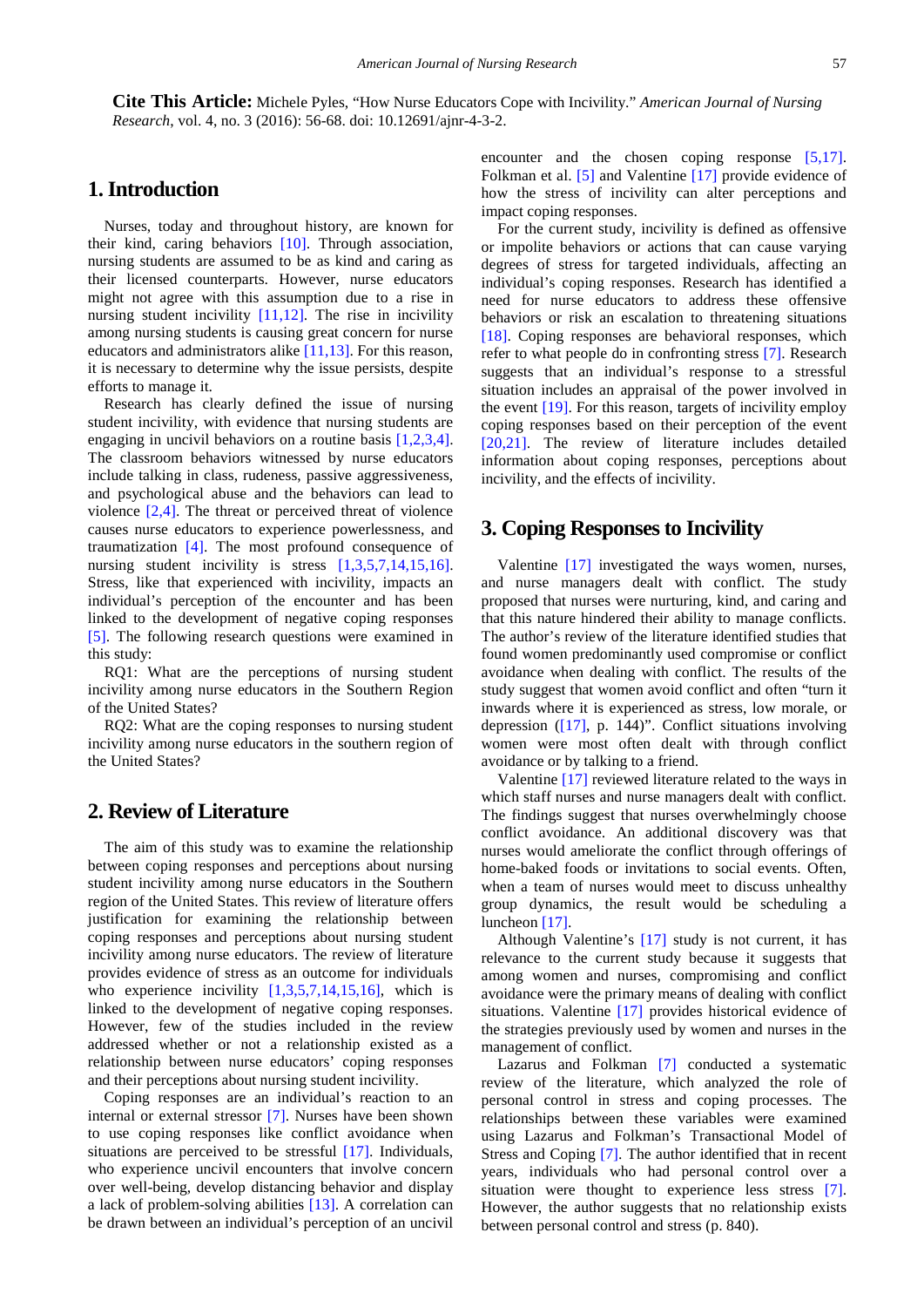**Cite This Article:** Michele Pyles, "How Nurse Educators Cope with Incivility." *American Journal of Nursing Research*, vol. 4, no. 3 (2016): 56-68. doi: 10.12691/ajnr-4-3-2.

# **1. Introduction**

Nurses, today and throughout history, are known for their kind, caring behaviors [\[10\].](#page-11-6) Through association, nursing students are assumed to be as kind and caring as their licensed counterparts. However, nurse educators might not agree with this assumption due to a rise in nursing student incivility  $[11,12]$ . The rise in incivility among nursing students is causing great concern for nurse educators and administrators alike [\[11,13\].](#page-11-7) For this reason, it is necessary to determine why the issue persists, despite efforts to manage it.

Research has clearly defined the issue of nursing student incivility, with evidence that nursing students are engaging in uncivil behaviors on a routine basis [\[1,2,3,4\].](#page-11-0) The classroom behaviors witnessed by nurse educators include talking in class, rudeness, passive aggressiveness, and psychological abuse and the behaviors can lead to violence [\[2,4\].](#page-11-8) The threat or perceived threat of violence causes nurse educators to experience powerlessness, and traumatization [\[4\].](#page-11-9) The most profound consequence of nursing student incivility is stress [\[1,3,5,7,14,15,16\].](#page-11-0) Stress, like that experienced with incivility, impacts an individual's perception of the encounter and has been linked to the development of negative coping responses [\[5\].](#page-11-1) The following research questions were examined in this study:

RQ1: What are the perceptions of nursing student incivility among nurse educators in the Southern Region of the United States?

RQ2: What are the coping responses to nursing student incivility among nurse educators in the southern region of the United States?

## **2. Review of Literature**

The aim of this study was to examine the relationship between coping responses and perceptions about nursing student incivility among nurse educators in the Southern region of the United States. This review of literature offers justification for examining the relationship between coping responses and perceptions about nursing student incivility among nurse educators. The review of literature provides evidence of stress as an outcome for individuals who experience incivility  $[1,3,5,7,14,15,16]$ , which is linked to the development of negative coping responses. However, few of the studies included in the review addressed whether or not a relationship existed as a relationship between nurse educators' coping responses and their perceptions about nursing student incivility.

Coping responses are an individual's reaction to an internal or external stressor [\[7\].](#page-11-3) Nurses have been shown to use coping responses like conflict avoidance when situations are perceived to be stressful [\[17\].](#page-11-10) Individuals, who experience uncivil encounters that involve concern over well-being, develop distancing behavior and display a lack of problem-solving abilities [\[13\].](#page-11-11) A correlation can be drawn between an individual's perception of an uncivil encounter and the chosen coping response [\[5,17\].](#page-11-1) Folkman et al. [\[5\]](#page-11-1) and Valentine [\[17\]](#page-11-10) provide evidence of how the stress of incivility can alter perceptions and impact coping responses.

For the current study, incivility is defined as offensive or impolite behaviors or actions that can cause varying degrees of stress for targeted individuals, affecting an individual's coping responses. Research has identified a need for nurse educators to address these offensive behaviors or risk an escalation to threatening situations [\[18\].](#page-11-12) Coping responses are behavioral responses, which refer to what people do in confronting stress [\[7\].](#page-11-3) Research suggests that an individual's response to a stressful situation includes an appraisal of the power involved in the event [\[19\].](#page-11-13) For this reason, targets of incivility employ coping responses based on their perception of the event [\[20,21\].](#page-11-14) The review of literature includes detailed information about coping responses, perceptions about incivility, and the effects of incivility.

#### **3. Coping Responses to Incivility**

Valentine [\[17\]](#page-11-10) investigated the ways women, nurses, and nurse managers dealt with conflict. The study proposed that nurses were nurturing, kind, and caring and that this nature hindered their ability to manage conflicts. The author's review of the literature identified studies that found women predominantly used compromise or conflict avoidance when dealing with conflict. The results of the study suggest that women avoid conflict and often "turn it inwards where it is experienced as stress, low morale, or depression  $([17], p. 144)$  $([17], p. 144)$ ". Conflict situations involving women were most often dealt with through conflict avoidance or by talking to a friend.

Valentine [\[17\]](#page-11-10) reviewed literature related to the ways in which staff nurses and nurse managers dealt with conflict. The findings suggest that nurses overwhelmingly choose conflict avoidance. An additional discovery was that nurses would ameliorate the conflict through offerings of home-baked foods or invitations to social events. Often, when a team of nurses would meet to discuss unhealthy group dynamics, the result would be scheduling a luncheon [\[17\].](#page-11-10)

Although Valentine's [\[17\]](#page-11-10) study is not current, it has relevance to the current study because it suggests that among women and nurses, compromising and conflict avoidance were the primary means of dealing with conflict situations. Valentine [\[17\]](#page-11-10) provides historical evidence of the strategies previously used by women and nurses in the management of conflict.

Lazarus and Folkman [\[7\]](#page-11-3) conducted a systematic review of the literature, which analyzed the role of personal control in stress and coping processes. The relationships between these variables were examined using Lazarus and Folkman's Transactional Model of Stress and Coping [\[7\].](#page-11-3) The author identified that in recent years, individuals who had personal control over a situation were thought to experience less stress [\[7\].](#page-11-3) However, the author suggests that no relationship exists between personal control and stress (p. 840).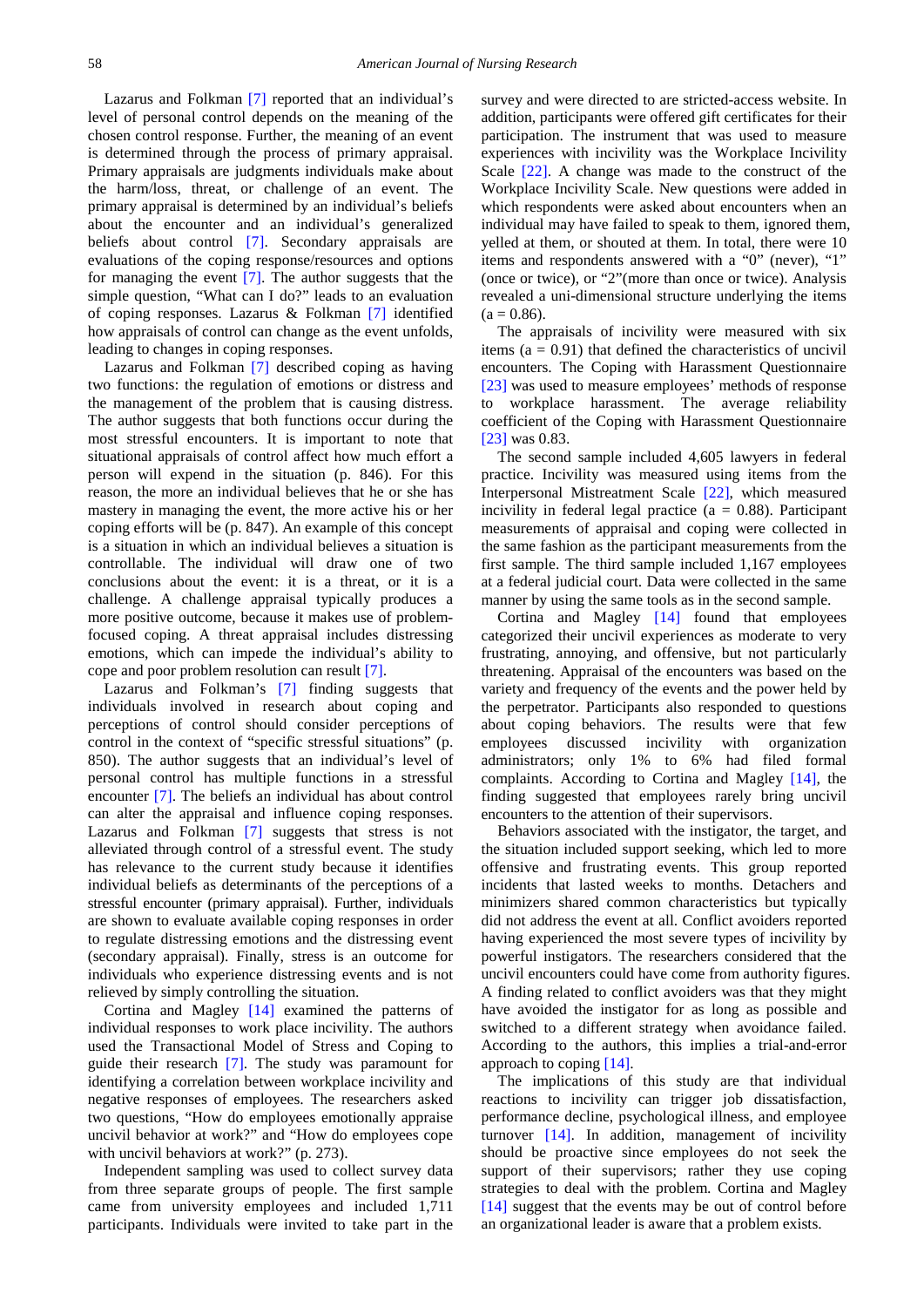Lazarus and Folkman [\[7\]](#page-11-3) reported that an individual's level of personal control depends on the meaning of the chosen control response. Further, the meaning of an event is determined through the process of primary appraisal. Primary appraisals are judgments individuals make about the harm/loss, threat, or challenge of an event. The primary appraisal is determined by an individual's beliefs about the encounter and an individual's generalized beliefs about control [\[7\].](#page-11-3) Secondary appraisals are evaluations of the coping response/resources and options for managing the event [\[7\].](#page-11-3) The author suggests that the simple question, "What can I do?" leads to an evaluation of coping responses. Lazarus & Folkman [\[7\]](#page-11-3) identified how appraisals of control can change as the event unfolds, leading to changes in coping responses.

Lazarus and Folkman [\[7\]](#page-11-3) described coping as having two functions: the regulation of emotions or distress and the management of the problem that is causing distress. The author suggests that both functions occur during the most stressful encounters. It is important to note that situational appraisals of control affect how much effort a person will expend in the situation (p. 846). For this reason, the more an individual believes that he or she has mastery in managing the event, the more active his or her coping efforts will be (p. 847). An example of this concept is a situation in which an individual believes a situation is controllable. The individual will draw one of two conclusions about the event: it is a threat, or it is a challenge. A challenge appraisal typically produces a more positive outcome, because it makes use of problemfocused coping. A threat appraisal includes distressing emotions, which can impede the individual's ability to cope and poor problem resolution can result [\[7\].](#page-11-3)

Lazarus and Folkman's [\[7\]](#page-11-3) finding suggests that individuals involved in research about coping and perceptions of control should consider perceptions of control in the context of "specific stressful situations" (p. 850). The author suggests that an individual's level of personal control has multiple functions in a stressful encounter [\[7\].](#page-11-3) The beliefs an individual has about control can alter the appraisal and influence coping responses. Lazarus and Folkman [\[7\]](#page-11-3) suggests that stress is not alleviated through control of a stressful event. The study has relevance to the current study because it identifies individual beliefs as determinants of the perceptions of a stressful encounter (primary appraisal). Further, individuals are shown to evaluate available coping responses in order to regulate distressing emotions and the distressing event (secondary appraisal). Finally, stress is an outcome for individuals who experience distressing events and is not relieved by simply controlling the situation.

Cortina and Magley [\[14\]](#page-11-15) examined the patterns of individual responses to work place incivility. The authors used the Transactional Model of Stress and Coping to guide their research [\[7\].](#page-11-3) The study was paramount for identifying a correlation between workplace incivility and negative responses of employees. The researchers asked two questions, "How do employees emotionally appraise uncivil behavior at work?" and "How do employees cope with uncivil behaviors at work?" (p. 273).

Independent sampling was used to collect survey data from three separate groups of people. The first sample came from university employees and included 1,711 participants. Individuals were invited to take part in the survey and were directed to are stricted-access website. In addition, participants were offered gift certificates for their participation. The instrument that was used to measure experiences with incivility was the Workplace Incivility Scale [\[22\].](#page-11-16) A change was made to the construct of the Workplace Incivility Scale. New questions were added in which respondents were asked about encounters when an individual may have failed to speak to them, ignored them, yelled at them, or shouted at them. In total, there were 10 items and respondents answered with a "0" (never), "1" (once or twice), or "2"(more than once or twice). Analysis revealed a uni-dimensional structure underlying the items  $(a = 0.86)$ .

The appraisals of incivility were measured with six items  $(a = 0.91)$  that defined the characteristics of uncivil encounters. The Coping with Harassment Questionnaire [\[23\]](#page-11-17) was used to measure employees' methods of response to workplace harassment. The average reliability coefficient of the Coping with Harassment Questionnaire [\[23\]](#page-11-17) was 0.83.

The second sample included 4,605 lawyers in federal practice. Incivility was measured using items from the Interpersonal Mistreatment Scale [\[22\],](#page-11-16) which measured incivility in federal legal practice ( $a = 0.88$ ). Participant measurements of appraisal and coping were collected in the same fashion as the participant measurements from the first sample. The third sample included 1,167 employees at a federal judicial court. Data were collected in the same manner by using the same tools as in the second sample.

Cortina and Magley [\[14\]](#page-11-15) found that employees categorized their uncivil experiences as moderate to very frustrating, annoying, and offensive, but not particularly threatening. Appraisal of the encounters was based on the variety and frequency of the events and the power held by the perpetrator. Participants also responded to questions about coping behaviors. The results were that few employees discussed incivility with organization administrators; only 1% to 6% had filed formal complaints. According to Cortina and Magley [\[14\],](#page-11-15) the finding suggested that employees rarely bring uncivil encounters to the attention of their supervisors.

Behaviors associated with the instigator, the target, and the situation included support seeking, which led to more offensive and frustrating events. This group reported incidents that lasted weeks to months. Detachers and minimizers shared common characteristics but typically did not address the event at all. Conflict avoiders reported having experienced the most severe types of incivility by powerful instigators. The researchers considered that the uncivil encounters could have come from authority figures. A finding related to conflict avoiders was that they might have avoided the instigator for as long as possible and switched to a different strategy when avoidance failed. According to the authors, this implies a trial-and-error approach to coping [\[14\].](#page-11-15)

The implications of this study are that individual reactions to incivility can trigger job dissatisfaction, performance decline, psychological illness, and employee turnover [\[14\].](#page-11-15) In addition, management of incivility should be proactive since employees do not seek the support of their supervisors; rather they use coping strategies to deal with the problem. Cortina and Magley [\[14\]](#page-11-15) suggest that the events may be out of control before an organizational leader is aware that a problem exists.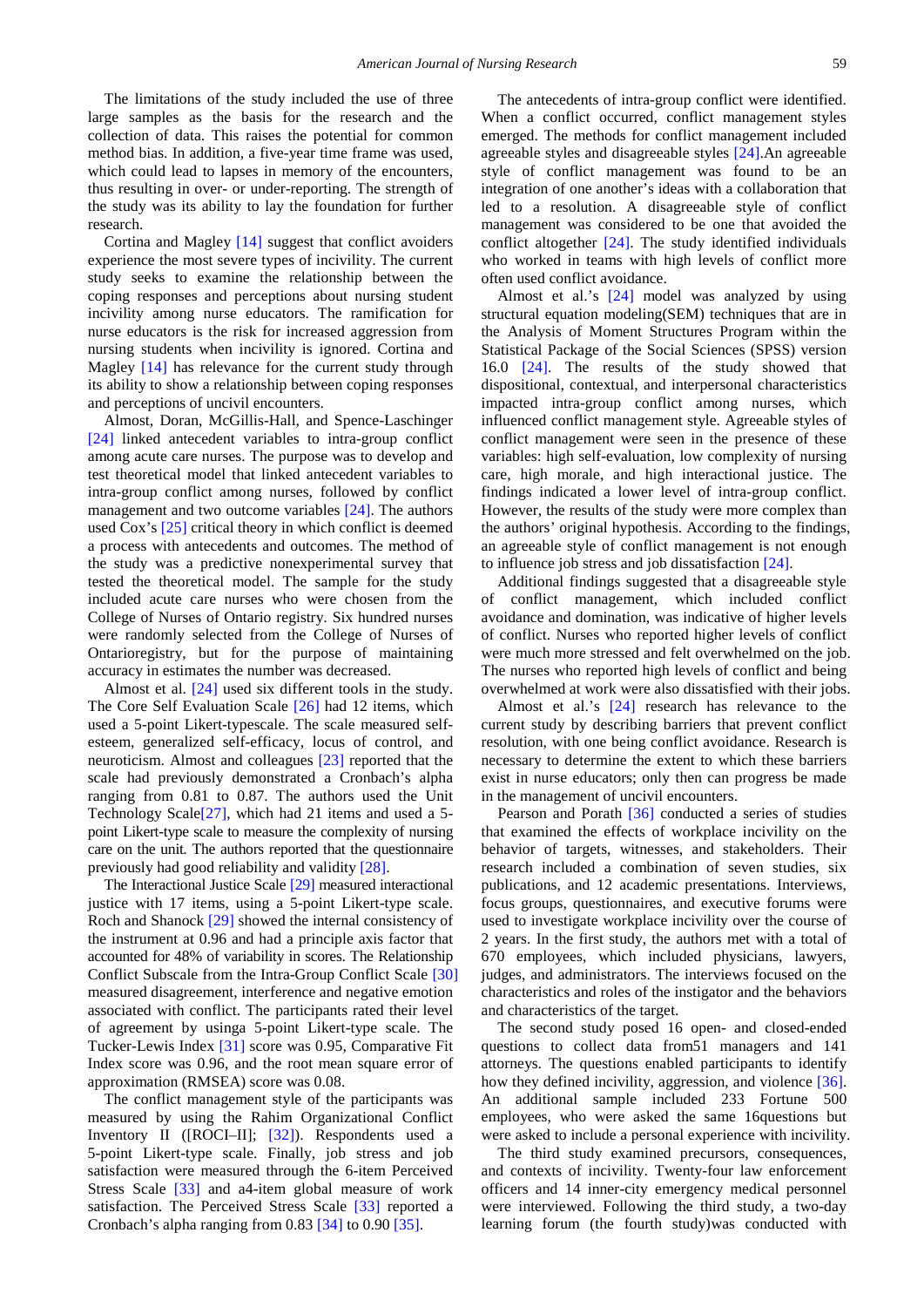The limitations of the study included the use of three large samples as the basis for the research and the collection of data. This raises the potential for common method bias. In addition, a five-year time frame was used, which could lead to lapses in memory of the encounters, thus resulting in over- or under-reporting. The strength of the study was its ability to lay the foundation for further research.

Cortina and Magley [\[14\]](#page-11-15) suggest that conflict avoiders experience the most severe types of incivility. The current study seeks to examine the relationship between the coping responses and perceptions about nursing student incivility among nurse educators. The ramification for nurse educators is the risk for increased aggression from nursing students when incivility is ignored. Cortina and Magley [\[14\]](#page-11-15) has relevance for the current study through its ability to show a relationship between coping responses and perceptions of uncivil encounters.

Almost, Doran, McGillis-Hall, and Spence-Laschinger [\[24\]](#page-11-18) linked antecedent variables to intra-group conflict among acute care nurses. The purpose was to develop and test theoretical model that linked antecedent variables to intra-group conflict among nurses, followed by conflict management and two outcome variables [\[24\].](#page-11-18) The authors used Cox's [\[25\]](#page-11-19) critical theory in which conflict is deemed a process with antecedents and outcomes. The method of the study was a predictive nonexperimental survey that tested the theoretical model. The sample for the study included acute care nurses who were chosen from the College of Nurses of Ontario registry. Six hundred nurses were randomly selected from the College of Nurses of Ontarioregistry, but for the purpose of maintaining accuracy in estimates the number was decreased.

Almost et al. [\[24\]](#page-11-18) used six different tools in the study. The Core Self Evaluation Scale [\[26\]](#page-11-20) had 12 items, which used a 5-point Likert-typescale. The scale measured selfesteem, generalized self-efficacy, locus of control, and neuroticism. Almost and colleagues [\[23\]](#page-11-17) reported that the scale had previously demonstrated a Cronbach's alpha ranging from 0.81 to 0.87. The authors used the Unit Technology Scal[e\[27\],](#page-11-21) which had 21 items and used a 5 point Likert-type scale to measure the complexity of nursing care on the unit. The authors reported that the questionnaire previously had good reliability and validity [\[28\].](#page-11-22)

The Interactional Justice Scale [\[29\]](#page-11-23) measured interactional justice with 17 items, using a 5-point Likert-type scale. Roch and Shanock [\[29\]](#page-11-23) showed the internal consistency of the instrument at 0.96 and had a principle axis factor that accounted for 48% of variability in scores. The Relationship Conflict Subscale from the Intra-Group Conflict Scale [\[30\]](#page-11-24) measured disagreement, interference and negative emotion associated with conflict. The participants rated their level of agreement by usinga 5-point Likert-type scale. The Tucker-Lewis Index [\[31\]](#page-12-0) score was 0.95, Comparative Fit Index score was 0.96, and the root mean square error of approximation (RMSEA) score was 0.08.

The conflict management style of the participants was measured by using the Rahim Organizational Conflict Inventory II ([ROCI–II]; [\[32\]\)](#page-12-1). Respondents used a 5-point Likert-type scale. Finally, job stress and job satisfaction were measured through the 6-item Perceived Stress Scale [\[33\]](#page-12-2) and a4-item global measure of work satisfaction. The Perceived Stress Scale [\[33\]](#page-12-2) reported a Cronbach's alpha ranging from 0.83 [\[34\]](#page-12-3) to 0.90 [\[35\].](#page-12-4)

The antecedents of intra-group conflict were identified. When a conflict occurred, conflict management styles emerged. The methods for conflict management included agreeable styles and disagreeable styles [\[24\].](#page-11-18)An agreeable style of conflict management was found to be an integration of one another's ideas with a collaboration that led to a resolution. A disagreeable style of conflict management was considered to be one that avoided the conflict altogether [\[24\].](#page-11-18) The study identified individuals who worked in teams with high levels of conflict more often used conflict avoidance.

Almost et al.'s [\[24\]](#page-11-18) model was analyzed by using structural equation modeling(SEM) techniques that are in the Analysis of Moment Structures Program within the Statistical Package of the Social Sciences (SPSS) version 16.0 [\[24\].](#page-11-18) The results of the study showed that dispositional, contextual, and interpersonal characteristics impacted intra-group conflict among nurses, which influenced conflict management style. Agreeable styles of conflict management were seen in the presence of these variables: high self-evaluation, low complexity of nursing care, high morale, and high interactional justice. The findings indicated a lower level of intra-group conflict. However, the results of the study were more complex than the authors' original hypothesis. According to the findings, an agreeable style of conflict management is not enough to influence job stress and job dissatisfaction [\[24\].](#page-11-18)

Additional findings suggested that a disagreeable style of conflict management, which included conflict avoidance and domination, was indicative of higher levels of conflict. Nurses who reported higher levels of conflict were much more stressed and felt overwhelmed on the job. The nurses who reported high levels of conflict and being overwhelmed at work were also dissatisfied with their jobs.

Almost et al.'s [\[24\]](#page-11-18) research has relevance to the current study by describing barriers that prevent conflict resolution, with one being conflict avoidance. Research is necessary to determine the extent to which these barriers exist in nurse educators; only then can progress be made in the management of uncivil encounters.

Pearson and Porath [\[36\]](#page-12-5) conducted a series of studies that examined the effects of workplace incivility on the behavior of targets, witnesses, and stakeholders. Their research included a combination of seven studies, six publications, and 12 academic presentations. Interviews, focus groups, questionnaires, and executive forums were used to investigate workplace incivility over the course of 2 years. In the first study, the authors met with a total of 670 employees, which included physicians, lawyers, judges, and administrators. The interviews focused on the characteristics and roles of the instigator and the behaviors and characteristics of the target.

The second study posed 16 open- and closed-ended questions to collect data from51 managers and 141 attorneys. The questions enabled participants to identify how they defined incivility, aggression, and violence [\[36\].](#page-12-5) An additional sample included 233 Fortune 500 employees, who were asked the same 16questions but were asked to include a personal experience with incivility.

The third study examined precursors, consequences, and contexts of incivility. Twenty-four law enforcement officers and 14 inner-city emergency medical personnel were interviewed. Following the third study, a two-day learning forum (the fourth study)was conducted with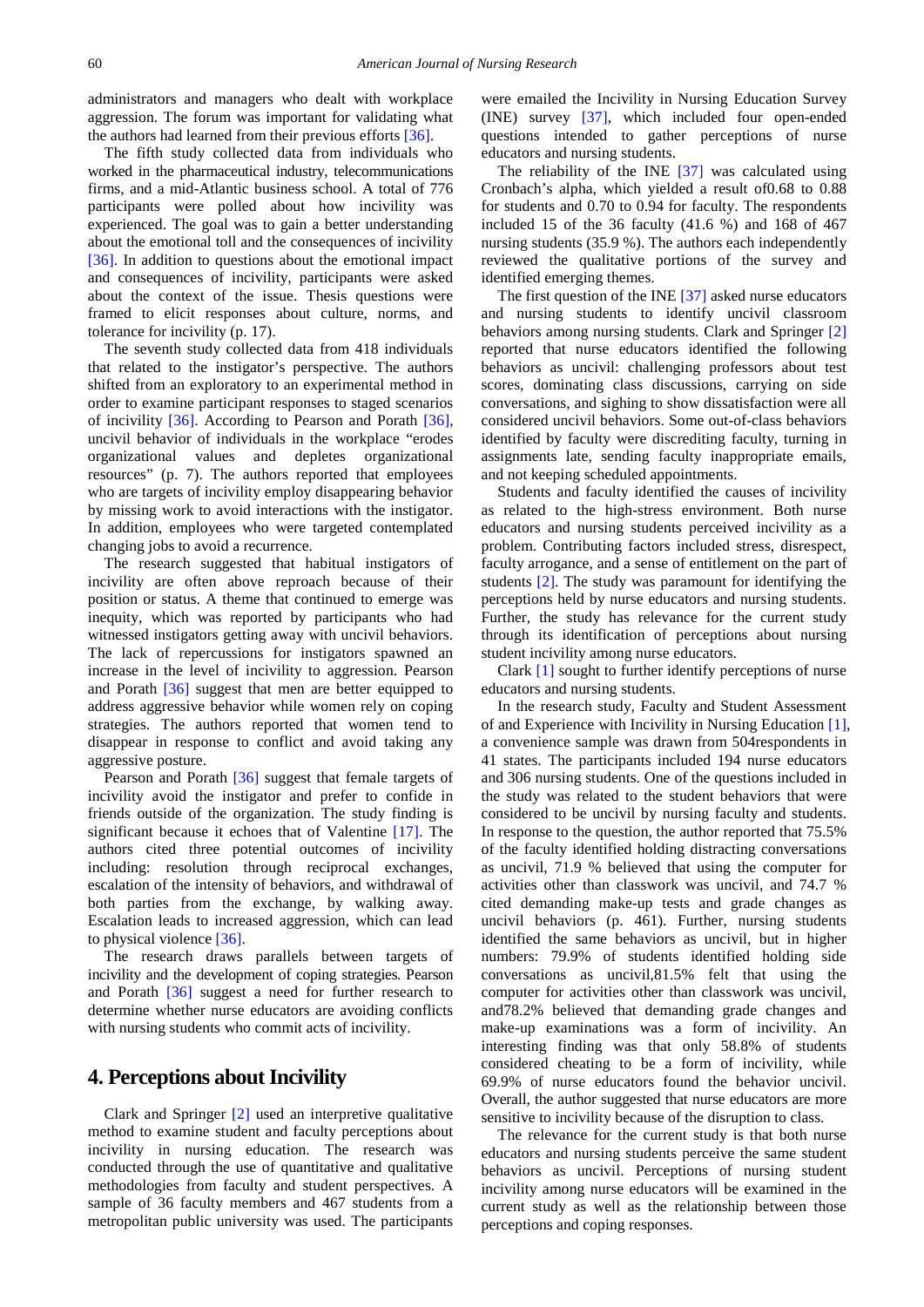administrators and managers who dealt with workplace aggression. The forum was important for validating what the authors had learned from their previous efforts [\[36\].](#page-12-5)

The fifth study collected data from individuals who worked in the pharmaceutical industry, telecommunications firms, and a mid-Atlantic business school. A total of 776 participants were polled about how incivility was experienced. The goal was to gain a better understanding about the emotional toll and the consequences of incivility [\[36\].](#page-12-5) In addition to questions about the emotional impact and consequences of incivility, participants were asked about the context of the issue. Thesis questions were framed to elicit responses about culture, norms, and tolerance for incivility (p. 17).

The seventh study collected data from 418 individuals that related to the instigator's perspective. The authors shifted from an exploratory to an experimental method in order to examine participant responses to staged scenarios of incivility [\[36\].](#page-12-5) According to Pearson and Porath [\[36\],](#page-12-5) uncivil behavior of individuals in the workplace "erodes organizational values and depletes organizational resources" (p. 7). The authors reported that employees who are targets of incivility employ disappearing behavior by missing work to avoid interactions with the instigator. In addition, employees who were targeted contemplated changing jobs to avoid a recurrence.

The research suggested that habitual instigators of incivility are often above reproach because of their position or status. A theme that continued to emerge was inequity, which was reported by participants who had witnessed instigators getting away with uncivil behaviors. The lack of repercussions for instigators spawned an increase in the level of incivility to aggression. Pearson and Porath [\[36\]](#page-12-5) suggest that men are better equipped to address aggressive behavior while women rely on coping strategies. The authors reported that women tend to disappear in response to conflict and avoid taking any aggressive posture.

Pearson and Porath [\[36\]](#page-12-5) suggest that female targets of incivility avoid the instigator and prefer to confide in friends outside of the organization. The study finding is significant because it echoes that of Valentine [\[17\].](#page-11-10) The authors cited three potential outcomes of incivility including: resolution through reciprocal exchanges, escalation of the intensity of behaviors, and withdrawal of both parties from the exchange, by walking away. Escalation leads to increased aggression, which can lead to physical violence [\[36\].](#page-12-5)

The research draws parallels between targets of incivility and the development of coping strategies. Pearson and Porath [\[36\]](#page-12-5) suggest a need for further research to determine whether nurse educators are avoiding conflicts with nursing students who commit acts of incivility.

## **4. Perceptions about Incivility**

Clark and Springer [\[2\]](#page-11-8) used an interpretive qualitative method to examine student and faculty perceptions about incivility in nursing education. The research was conducted through the use of quantitative and qualitative methodologies from faculty and student perspectives. A sample of 36 faculty members and 467 students from a metropolitan public university was used. The participants were emailed the Incivility in Nursing Education Survey (INE) survey [\[37\],](#page-12-6) which included four open-ended questions intended to gather perceptions of nurse educators and nursing students.

The reliability of the INE  $[37]$  was calculated using Cronbach's alpha, which yielded a result of0.68 to 0.88 for students and 0.70 to 0.94 for faculty. The respondents included 15 of the 36 faculty (41.6 %) and 168 of 467 nursing students (35.9 %). The authors each independently reviewed the qualitative portions of the survey and identified emerging themes.

The first question of the IN[E \[37\]](#page-12-6) asked nurse educators and nursing students to identify uncivil classroom behaviors among nursing students. Clark and Springer [\[2\]](#page-11-8) reported that nurse educators identified the following behaviors as uncivil: challenging professors about test scores, dominating class discussions, carrying on side conversations, and sighing to show dissatisfaction were all considered uncivil behaviors. Some out-of-class behaviors identified by faculty were discrediting faculty, turning in assignments late, sending faculty inappropriate emails, and not keeping scheduled appointments.

Students and faculty identified the causes of incivility as related to the high-stress environment. Both nurse educators and nursing students perceived incivility as a problem. Contributing factors included stress, disrespect, faculty arrogance, and a sense of entitlement on the part of students [\[2\].](#page-11-8) The study was paramount for identifying the perceptions held by nurse educators and nursing students. Further, the study has relevance for the current study through its identification of perceptions about nursing student incivility among nurse educators.

Clark [\[1\]](#page-11-0) sought to further identify perceptions of nurse educators and nursing students.

In the research study, Faculty and Student Assessment of and Experience with Incivility in Nursing Education [\[1\],](#page-11-0) a convenience sample was drawn from 504respondents in 41 states. The participants included 194 nurse educators and 306 nursing students. One of the questions included in the study was related to the student behaviors that were considered to be uncivil by nursing faculty and students. In response to the question, the author reported that 75.5% of the faculty identified holding distracting conversations as uncivil, 71.9 % believed that using the computer for activities other than classwork was uncivil, and 74.7 % cited demanding make-up tests and grade changes as uncivil behaviors (p. 461). Further, nursing students identified the same behaviors as uncivil, but in higher numbers: 79.9% of students identified holding side conversations as uncivil,81.5% felt that using the computer for activities other than classwork was uncivil, and78.2% believed that demanding grade changes and make-up examinations was a form of incivility. An interesting finding was that only 58.8% of students considered cheating to be a form of incivility, while 69.9% of nurse educators found the behavior uncivil. Overall, the author suggested that nurse educators are more sensitive to incivility because of the disruption to class.

The relevance for the current study is that both nurse educators and nursing students perceive the same student behaviors as uncivil. Perceptions of nursing student incivility among nurse educators will be examined in the current study as well as the relationship between those perceptions and coping responses.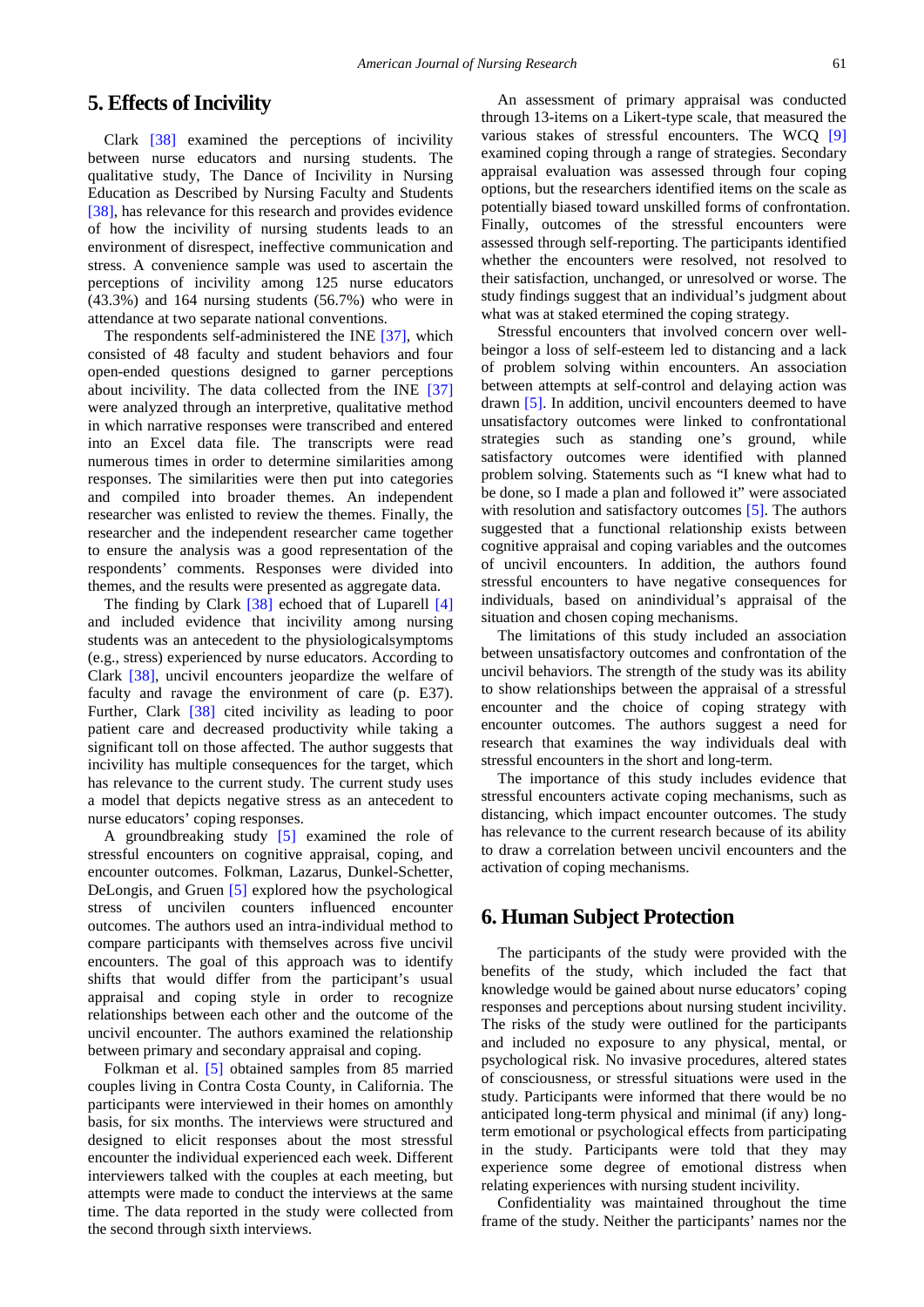# **5. Effects of Incivility**

Clark [\[38\]](#page-12-7) examined the perceptions of incivility between nurse educators and nursing students. The qualitative study, The Dance of Incivility in Nursing Education as Described by Nursing Faculty and Students [\[38\],](#page-12-7) has relevance for this research and provides evidence of how the incivility of nursing students leads to an environment of disrespect, ineffective communication and stress. A convenience sample was used to ascertain the perceptions of incivility among 125 nurse educators (43.3%) and 164 nursing students (56.7%) who were in attendance at two separate national conventions.

The respondents self-administered the INE [\[37\],](#page-12-6) which consisted of 48 faculty and student behaviors and four open-ended questions designed to garner perceptions about incivility. The data collected from the INE [\[37\]](#page-12-6) were analyzed through an interpretive, qualitative method in which narrative responses were transcribed and entered into an Excel data file. The transcripts were read numerous times in order to determine similarities among responses. The similarities were then put into categories and compiled into broader themes. An independent researcher was enlisted to review the themes. Finally, the researcher and the independent researcher came together to ensure the analysis was a good representation of the respondents' comments. Responses were divided into themes, and the results were presented as aggregate data.

The finding by Clark [\[38\]](#page-12-7) echoed that of Luparell [\[4\]](#page-11-9) and included evidence that incivility among nursing students was an antecedent to the physiologicalsymptoms (e.g., stress) experienced by nurse educators. According to Clark [\[38\],](#page-12-7) uncivil encounters jeopardize the welfare of faculty and ravage the environment of care (p. E37). Further, Clark [\[38\]](#page-12-7) cited incivility as leading to poor patient care and decreased productivity while taking a significant toll on those affected. The author suggests that incivility has multiple consequences for the target, which has relevance to the current study. The current study uses a model that depicts negative stress as an antecedent to nurse educators' coping responses.

A groundbreaking study [\[5\]](#page-11-1) examined the role of stressful encounters on cognitive appraisal, coping, and encounter outcomes. Folkman, Lazarus, Dunkel-Schetter, DeLongis, and Gruen [\[5\]](#page-11-1) explored how the psychological stress of uncivilen counters influenced encounter outcomes. The authors used an intra-individual method to compare participants with themselves across five uncivil encounters. The goal of this approach was to identify shifts that would differ from the participant's usual appraisal and coping style in order to recognize relationships between each other and the outcome of the uncivil encounter. The authors examined the relationship between primary and secondary appraisal and coping.

Folkman et al. [\[5\]](#page-11-1) obtained samples from 85 married couples living in Contra Costa County, in California. The participants were interviewed in their homes on amonthly basis, for six months. The interviews were structured and designed to elicit responses about the most stressful encounter the individual experienced each week. Different interviewers talked with the couples at each meeting, but attempts were made to conduct the interviews at the same time. The data reported in the study were collected from the second through sixth interviews.

An assessment of primary appraisal was conducted through 13-items on a Likert-type scale, that measured the various stakes of stressful encounters. The WCQ [\[9\]](#page-11-5) examined coping through a range of strategies. Secondary appraisal evaluation was assessed through four coping options, but the researchers identified items on the scale as potentially biased toward unskilled forms of confrontation. Finally, outcomes of the stressful encounters were assessed through self-reporting. The participants identified whether the encounters were resolved, not resolved to their satisfaction, unchanged, or unresolved or worse. The study findings suggest that an individual's judgment about what was at staked etermined the coping strategy.

Stressful encounters that involved concern over wellbeingor a loss of self-esteem led to distancing and a lack of problem solving within encounters. An association between attempts at self-control and delaying action was drawn [\[5\].](#page-11-1) In addition, uncivil encounters deemed to have unsatisfactory outcomes were linked to confrontational strategies such as standing one's ground, while satisfactory outcomes were identified with planned problem solving. Statements such as "I knew what had to be done, so I made a plan and followed it" were associated with resolution and satisfactory outcomes [\[5\].](#page-11-1) The authors suggested that a functional relationship exists between cognitive appraisal and coping variables and the outcomes of uncivil encounters. In addition, the authors found stressful encounters to have negative consequences for individuals, based on anindividual's appraisal of the situation and chosen coping mechanisms.

The limitations of this study included an association between unsatisfactory outcomes and confrontation of the uncivil behaviors. The strength of the study was its ability to show relationships between the appraisal of a stressful encounter and the choice of coping strategy with encounter outcomes. The authors suggest a need for research that examines the way individuals deal with stressful encounters in the short and long-term.

The importance of this study includes evidence that stressful encounters activate coping mechanisms, such as distancing, which impact encounter outcomes. The study has relevance to the current research because of its ability to draw a correlation between uncivil encounters and the activation of coping mechanisms.

# **6. Human Subject Protection**

The participants of the study were provided with the benefits of the study, which included the fact that knowledge would be gained about nurse educators' coping responses and perceptions about nursing student incivility. The risks of the study were outlined for the participants and included no exposure to any physical, mental, or psychological risk. No invasive procedures, altered states of consciousness, or stressful situations were used in the study. Participants were informed that there would be no anticipated long-term physical and minimal (if any) longterm emotional or psychological effects from participating in the study. Participants were told that they may experience some degree of emotional distress when relating experiences with nursing student incivility.

Confidentiality was maintained throughout the time frame of the study. Neither the participants' names nor the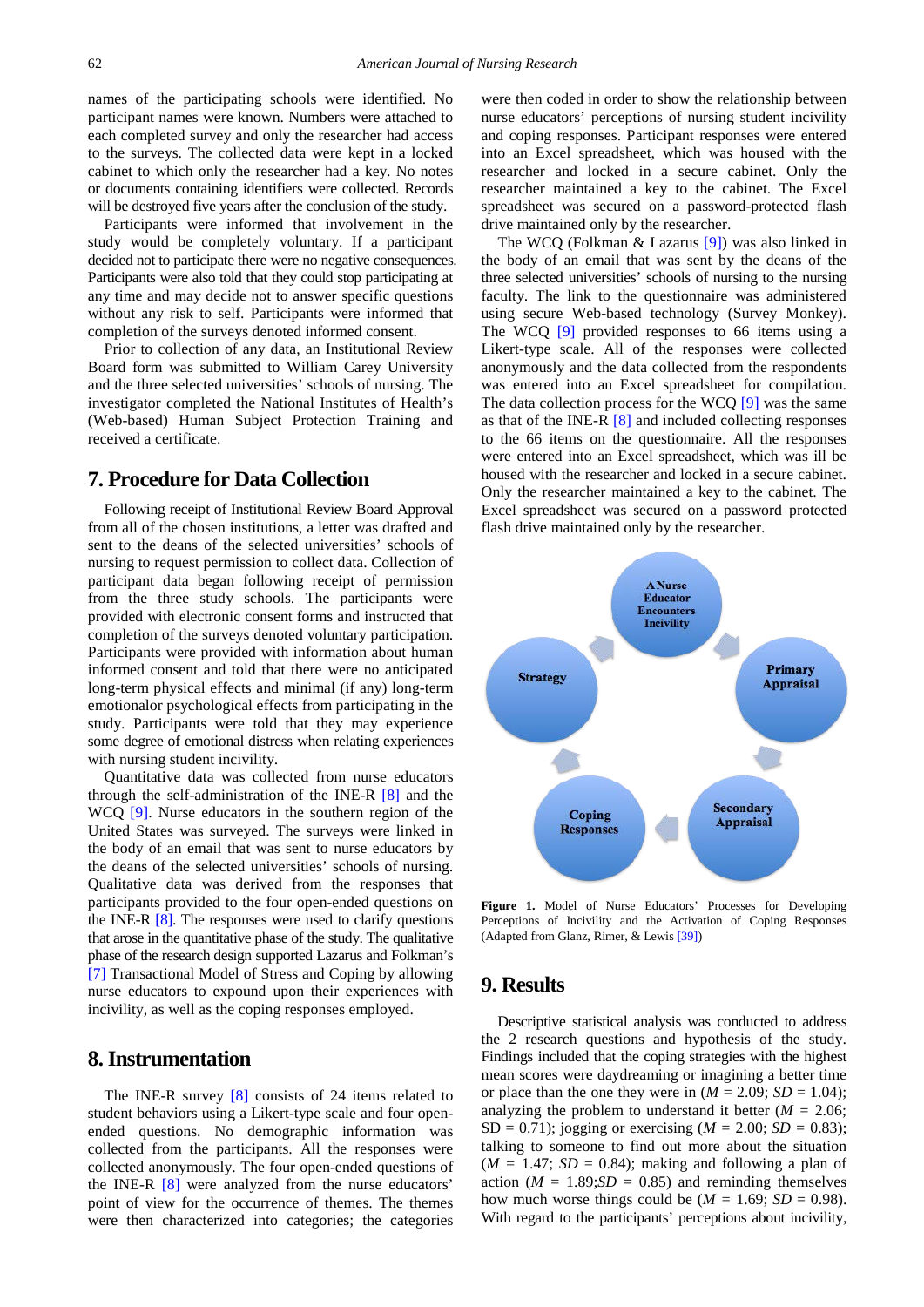names of the participating schools were identified. No participant names were known. Numbers were attached to each completed survey and only the researcher had access to the surveys. The collected data were kept in a locked cabinet to which only the researcher had a key. No notes or documents containing identifiers were collected. Records will be destroyed five years after the conclusion of the study.

Participants were informed that involvement in the study would be completely voluntary. If a participant decided not to participate there were no negative consequences. Participants were also told that they could stop participating at any time and may decide not to answer specific questions without any risk to self. Participants were informed that completion of the surveys denoted informed consent.

Prior to collection of any data, an Institutional Review Board form was submitted to William Carey University and the three selected universities' schools of nursing. The investigator completed the National Institutes of Health's (Web-based) Human Subject Protection Training and received a certificate.

## **7. Procedure for Data Collection**

Following receipt of Institutional Review Board Approval from all of the chosen institutions, a letter was drafted and sent to the deans of the selected universities' schools of nursing to request permission to collect data. Collection of participant data began following receipt of permission from the three study schools. The participants were provided with electronic consent forms and instructed that completion of the surveys denoted voluntary participation. Participants were provided with information about human informed consent and told that there were no anticipated long-term physical effects and minimal (if any) long-term emotionalor psychological effects from participating in the study. Participants were told that they may experience some degree of emotional distress when relating experiences with nursing student incivility.

Quantitative data was collected from nurse educators through the self-administration of the INE-R [\[8\]](#page-11-4) and the WCQ [\[9\].](#page-11-5) Nurse educators in the southern region of the United States was surveyed. The surveys were linked in the body of an email that was sent to nurse educators by the deans of the selected universities' schools of nursing. Qualitative data was derived from the responses that participants provided to the four open-ended questions on the INE-R [\[8\].](#page-11-4) The responses were used to clarify questions that arose in the quantitative phase of the study. The qualitative phase of the research design supported Lazarus and Folkman's [\[7\]](#page-11-3) Transactional Model of Stress and Coping by allowing nurse educators to expound upon their experiences with incivility, as well as the coping responses employed.

#### **8. Instrumentation**

The INE-R survey [\[8\]](#page-11-4) consists of 24 items related to student behaviors using a Likert-type scale and four openended questions. No demographic information was collected from the participants. All the responses were collected anonymously. The four open-ended questions of the INE-R [\[8\]](#page-11-4) were analyzed from the nurse educators' point of view for the occurrence of themes. The themes were then characterized into categories; the categories were then coded in order to show the relationship between nurse educators' perceptions of nursing student incivility and coping responses. Participant responses were entered into an Excel spreadsheet, which was housed with the researcher and locked in a secure cabinet. Only the researcher maintained a key to the cabinet. The Excel spreadsheet was secured on a password-protected flash drive maintained only by the researcher.

The WCQ (Folkman & Lazarus [\[9\]\)](#page-11-5) was also linked in the body of an email that was sent by the deans of the three selected universities' schools of nursing to the nursing faculty. The link to the questionnaire was administered using secure Web-based technology (Survey Monkey). The WCQ [\[9\]](#page-11-5) provided responses to 66 items using a Likert-type scale. All of the responses were collected anonymously and the data collected from the respondents was entered into an Excel spreadsheet for compilation. The data collection process for the WCQ [\[9\]](#page-11-5) was the same as that of the INE-R [\[8\]](#page-11-4) and included collecting responses to the 66 items on the questionnaire. All the responses were entered into an Excel spreadsheet, which was ill be housed with the researcher and locked in a secure cabinet. Only the researcher maintained a key to the cabinet. The Excel spreadsheet was secured on a password protected flash drive maintained only by the researcher.



**Figure 1.** Model of Nurse Educators' Processes for Developing Perceptions of Incivility and the Activation of Coping Responses (Adapted from Glanz, Rimer, & Lewi[s \[39\]\)](#page-12-8)

## **9. Results**

Descriptive statistical analysis was conducted to address the 2 research questions and hypothesis of the study. Findings included that the coping strategies with the highest mean scores were daydreaming or imagining a better time or place than the one they were in  $(M = 2.09; SD = 1.04)$ ; analyzing the problem to understand it better  $(M = 2.06)$ ; SD = 0.71); jogging or exercising ( $M = 2.00$ ; *SD* = 0.83); talking to someone to find out more about the situation  $(M = 1.47; SD = 0.84)$ ; making and following a plan of action ( $M = 1.89$ ; $SD = 0.85$ ) and reminding themselves how much worse things could be  $(M = 1.69; SD = 0.98)$ . With regard to the participants' perceptions about incivility,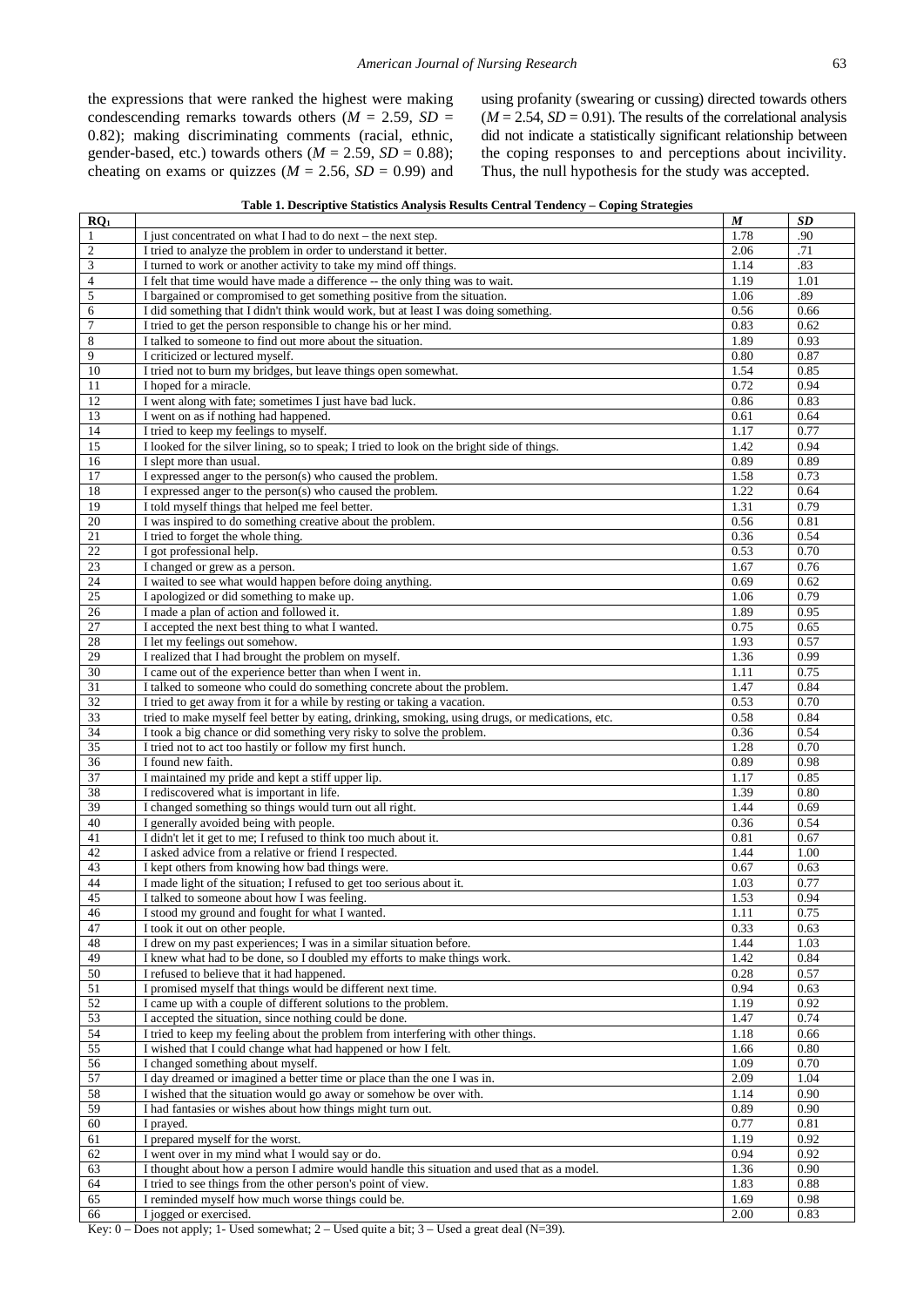the expressions that were ranked the highest were making condescending remarks towards others ( $M = 2.59$ ,  $SD =$ 0.82); making discriminating comments (racial, ethnic, gender-based, etc.) towards others  $(M = 2.59, SD = 0.88)$ ; cheating on exams or quizzes ( $M = 2.56$ ,  $SD = 0.99$ ) and using profanity (swearing or cussing) directed towards others  $(M = 2.54, SD = 0.91)$ . The results of the correlational analysis did not indicate a statistically significant relationship between the coping responses to and perceptions about incivility. Thus, the null hypothesis for the study was accepted.

| Table 1. Descriptive Statistics Analysis Results Central Tendency - Coping Strategies |  |  |
|---------------------------------------------------------------------------------------|--|--|
|---------------------------------------------------------------------------------------|--|--|

| $RQ_1$                      |                                                                                                  | M    | SD                |
|-----------------------------|--------------------------------------------------------------------------------------------------|------|-------------------|
| $\mathbf{1}$                | I just concentrated on what I had to do next – the next step.                                    | 1.78 | .90               |
| $\sqrt{2}$                  | I tried to analyze the problem in order to understand it better.                                 | 2.06 | .71               |
|                             | I turned to work or another activity to take my mind off things.                                 |      |                   |
| $\ensuremath{\mathfrak{Z}}$ |                                                                                                  | 1.14 | .83               |
| 4                           | I felt that time would have made a difference -- the only thing was to wait.                     | 1.19 | 1.01              |
| 5                           | I bargained or compromised to get something positive from the situation.                         | 1.06 | .89               |
| 6                           | I did something that I didn't think would work, but at least I was doing something.              | 0.56 | 0.66              |
| $\tau$                      | I tried to get the person responsible to change his or her mind.                                 | 0.83 | 0.62              |
| $\,$ 8 $\,$                 | I talked to someone to find out more about the situation.                                        | 1.89 | 0.93              |
|                             |                                                                                                  |      |                   |
| 9                           | I criticized or lectured myself.                                                                 | 0.80 | 0.87              |
| 10                          | I tried not to burn my bridges, but leave things open somewhat.                                  | 1.54 | 0.85              |
| 11                          | I hoped for a miracle.                                                                           | 0.72 | 0.94              |
| 12                          | I went along with fate; sometimes I just have bad luck.                                          | 0.86 | 0.83              |
| 13                          | I went on as if nothing had happened.                                                            | 0.61 | 0.64              |
| 14                          | I tried to keep my feelings to myself.                                                           | 1.17 | 0.77              |
|                             |                                                                                                  |      |                   |
| 15                          | I looked for the silver lining, so to speak; I tried to look on the bright side of things.       | 1.42 | 0.94              |
| 16                          | I slept more than usual.                                                                         | 0.89 | 0.89              |
| 17                          | I expressed anger to the person(s) who caused the problem.                                       | 1.58 | 0.73              |
| 18                          | I expressed anger to the person(s) who caused the problem.                                       | 1.22 | 0.64              |
| 19                          | I told myself things that helped me feel better.                                                 | 1.31 | 0.79              |
| 20                          | I was inspired to do something creative about the problem.                                       | 0.56 | 0.81              |
| 21                          | I tried to forget the whole thing.                                                               | 0.36 | 0.54              |
| $22\,$                      | I got professional help.                                                                         | 0.53 | 0.70              |
|                             |                                                                                                  |      |                   |
| 23                          | I changed or grew as a person.                                                                   | 1.67 | 0.76              |
| 24                          | I waited to see what would happen before doing anything.                                         | 0.69 | 0.62              |
| 25                          | I apologized or did something to make up.                                                        | 1.06 | 0.79              |
| 26                          | I made a plan of action and followed it.                                                         | 1.89 | 0.95              |
| 27                          | I accepted the next best thing to what I wanted.                                                 | 0.75 | 0.65              |
| 28                          | I let my feelings out somehow.                                                                   | 1.93 | 0.57              |
| 29                          | I realized that I had brought the problem on myself.                                             | 1.36 | 0.99              |
|                             |                                                                                                  |      |                   |
| 30                          | I came out of the experience better than when I went in.                                         | 1.11 | 0.75              |
| 31                          | I talked to someone who could do something concrete about the problem.                           | 1.47 | 0.84              |
| 32                          | I tried to get away from it for a while by resting or taking a vacation.                         | 0.53 | 0.70              |
| 33                          | tried to make myself feel better by eating, drinking, smoking, using drugs, or medications, etc. | 0.58 | 0.84              |
| 34                          | I took a big chance or did something very risky to solve the problem.                            | 0.36 | 0.54              |
| 35                          | I tried not to act too hastily or follow my first hunch.                                         | 1.28 | 0.70              |
| 36                          | I found new faith.                                                                               | 0.89 | 0.98              |
| 37                          | I maintained my pride and kept a stiff upper lip.                                                | 1.17 | 0.85              |
|                             |                                                                                                  |      |                   |
| 38                          | I rediscovered what is important in life.                                                        | 1.39 | 0.80              |
| 39                          | I changed something so things would turn out all right.                                          | 1.44 | 0.69              |
| 40                          | I generally avoided being with people.                                                           | 0.36 | 0.54              |
| 41                          | I didn't let it get to me; I refused to think too much about it.                                 | 0.81 | 0.67              |
| 42                          | I asked advice from a relative or friend I respected.                                            | 1.44 | $\overline{1.00}$ |
| 43                          | I kept others from knowing how bad things were.                                                  | 0.67 | 0.63              |
| 44                          | I made light of the situation; I refused to get too serious about it.                            | 1.03 | 0.77              |
| 45                          | I talked to someone about how I was feeling.                                                     | 1.53 | 0.94              |
|                             |                                                                                                  |      |                   |
| 46                          | I stood my ground and fought for what I wanted.                                                  | 1.11 | 0.75              |
| 47                          | I took it out on other people.                                                                   | 0.33 | 0.63              |
| 48                          | I drew on my past experiences; I was in a similar situation before.                              | 1.44 | 1.03              |
| 49                          | I knew what had to be done, so I doubled my efforts to make things work.                         | 1.42 | 0.84              |
| 50                          | I refused to believe that it had happened.                                                       | 0.28 | 0.57              |
| 51                          | I promised myself that things would be different next time.                                      | 0.94 | 0.63              |
| 52                          | I came up with a couple of different solutions to the problem.                                   | 1.19 | 0.92              |
| 53                          | I accepted the situation, since nothing could be done.                                           | 1.47 | 0.74              |
|                             |                                                                                                  |      |                   |
| 54                          | I tried to keep my feeling about the problem from interfering with other things.                 | 1.18 | 0.66              |
| 55                          | I wished that I could change what had happened or how I felt.                                    | 1.66 | 0.80              |
| $\overline{56}$             | I changed something about myself.                                                                | 1.09 | 0.70              |
| 57                          | I day dreamed or imagined a better time or place than the one I was in.                          | 2.09 | 1.04              |
| 58                          | I wished that the situation would go away or somehow be over with.                               | 1.14 | 0.90              |
| 59                          | I had fantasies or wishes about how things might turn out.                                       | 0.89 | 0.90              |
| $60\,$                      | I prayed.                                                                                        | 0.77 | 0.81              |
|                             |                                                                                                  |      |                   |
| 61                          | I prepared myself for the worst.                                                                 | 1.19 | 0.92              |
| 62                          | I went over in my mind what I would say or do.                                                   | 0.94 | 0.92              |
| 63                          | I thought about how a person I admire would handle this situation and used that as a model.      | 1.36 | 0.90              |
| 64                          | I tried to see things from the other person's point of view.                                     | 1.83 | 0.88              |
| 65                          | I reminded myself how much worse things could be.                                                | 1.69 | 0.98              |
| 66                          | I jogged or exercised.                                                                           | 2.00 | 0.83              |
|                             |                                                                                                  |      |                   |

Key: – Does not apply; 1- Used somewhat;  $2$  – Used quite a bit;  $3$  – Used a great deal (N=39).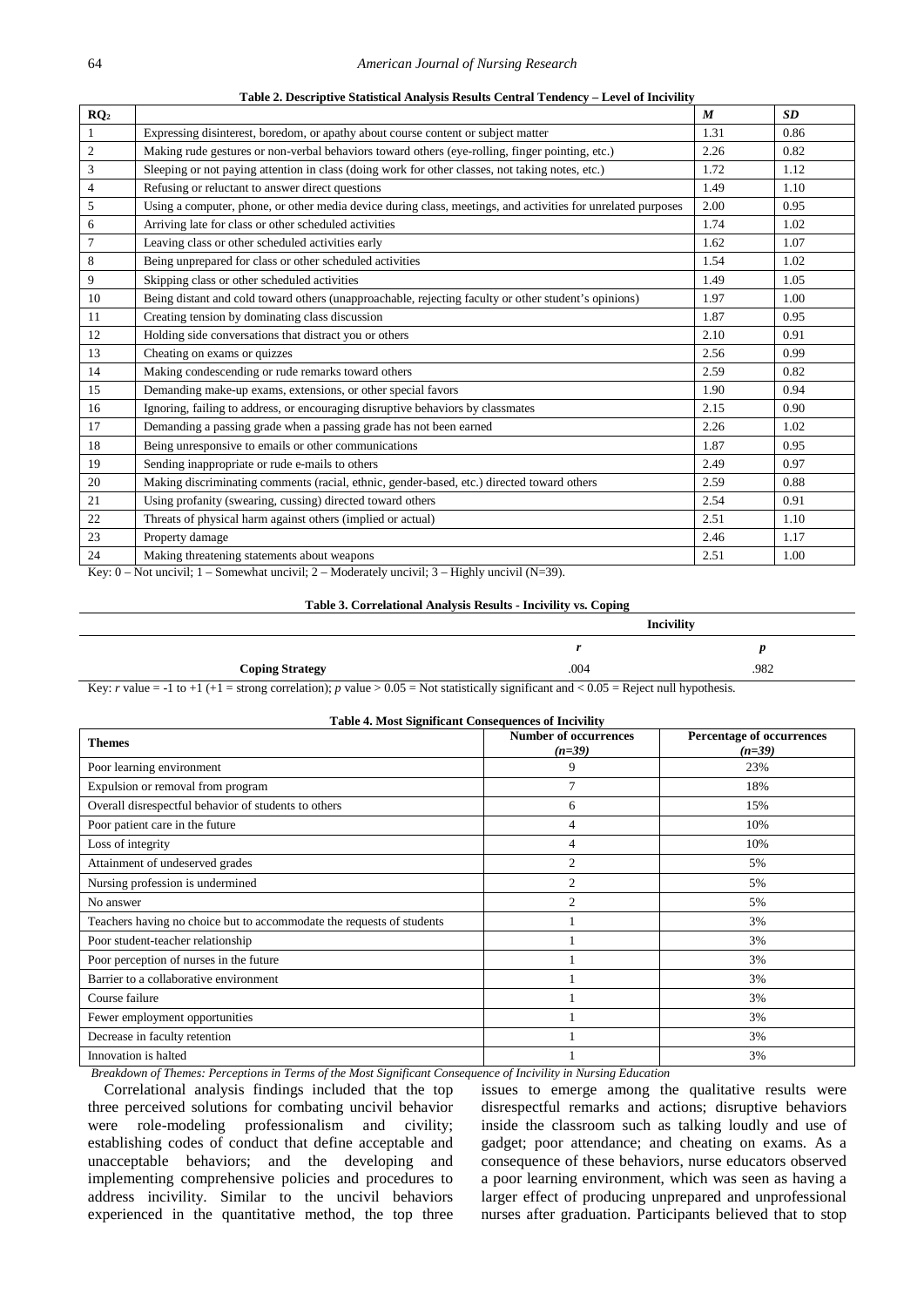|                 | Table 2. Descriptive Statistical Aliarysis Results Central Tendency – Level of Incrvinty                     |                  |      |
|-----------------|--------------------------------------------------------------------------------------------------------------|------------------|------|
| RQ <sub>2</sub> |                                                                                                              | $\boldsymbol{M}$ | SD   |
| $\mathbf{1}$    | Expressing disinterest, boredom, or apathy about course content or subject matter                            | 1.31             | 0.86 |
| $\mathbf{2}$    | Making rude gestures or non-verbal behaviors toward others (eye-rolling, finger pointing, etc.)              | 2.26             | 0.82 |
| $\mathfrak{Z}$  | Sleeping or not paying attention in class (doing work for other classes, not taking notes, etc.)             | 1.72             | 1.12 |
| $\overline{4}$  | Refusing or reluctant to answer direct questions                                                             | 1.49             | 1.10 |
| 5               | Using a computer, phone, or other media device during class, meetings, and activities for unrelated purposes | 2.00             | 0.95 |
| 6               | Arriving late for class or other scheduled activities                                                        | 1.74             | 1.02 |
| $\overline{7}$  | Leaving class or other scheduled activities early                                                            | 1.62             | 1.07 |
| 8               | Being unprepared for class or other scheduled activities                                                     | 1.54             | 1.02 |
| 9               | Skipping class or other scheduled activities                                                                 | 1.49             | 1.05 |
| 10              | Being distant and cold toward others (unapproachable, rejecting faculty or other student's opinions)         | 1.97             | 1.00 |
| 11              | Creating tension by dominating class discussion                                                              | 1.87             | 0.95 |
| 12              | Holding side conversations that distract you or others                                                       | 2.10             | 0.91 |
| 13              | Cheating on exams or quizzes                                                                                 | 2.56             | 0.99 |
| 14              | Making condescending or rude remarks toward others                                                           | 2.59             | 0.82 |
| 15              | Demanding make-up exams, extensions, or other special favors                                                 | 1.90             | 0.94 |
| 16              | Ignoring, failing to address, or encouraging disruptive behaviors by classmates                              | 2.15             | 0.90 |
| 17              | Demanding a passing grade when a passing grade has not been earned                                           | 2.26             | 1.02 |
| 18              | Being unresponsive to emails or other communications                                                         | 1.87             | 0.95 |
| 19              | Sending inappropriate or rude e-mails to others                                                              | 2.49             | 0.97 |
| 20              | Making discriminating comments (racial, ethnic, gender-based, etc.) directed toward others                   | 2.59             | 0.88 |
| 21              | Using profanity (swearing, cussing) directed toward others                                                   | 2.54             | 0.91 |
| 22              | Threats of physical harm against others (implied or actual)                                                  | 2.51             | 1.10 |
| 23              | Property damage                                                                                              | 2.46             | 1.17 |
| 24              | Making threatening statements about weapons                                                                  | 2.51             | 1.00 |

**Table 2. Descriptive Statistical Analysis Results Central Tendency – Level of Incivility**

Key: 0 – Not uncivil; 1 – Somewhat uncivil; 2 – Moderately uncivil; 3 – Highly uncivil (N=39).

#### **Table 3. Correlational Analysis Results - Incivility vs. Coping**

|                        | <b>Incivility</b> |      |
|------------------------|-------------------|------|
|                        |                   |      |
| <b>Coping Strategy</b> | .004              | .982 |

Key: *r* value = -1 to +1 (+1 = strong correlation); *p* value >  $0.05$  = Not statistically significant and <  $0.05$  = Reject null hypothesis.

|  | <b>Table 4. Most Significant Consequences of Incivility</b> |
|--|-------------------------------------------------------------|
|  |                                                             |

| <b>Themes</b>                                                         | <b>Number of occurrences</b><br>$(n=39)$ | Percentage of occurrences<br>$(n=39)$ |
|-----------------------------------------------------------------------|------------------------------------------|---------------------------------------|
| Poor learning environment                                             | 9                                        | 23%                                   |
| Expulsion or removal from program                                     | $\tau$                                   | 18%                                   |
| Overall disrespectful behavior of students to others                  | 6                                        | 15%                                   |
| Poor patient care in the future                                       | 4                                        | 10%                                   |
| Loss of integrity                                                     | 4                                        | 10%                                   |
| Attainment of undeserved grades                                       | $\overline{2}$                           | 5%                                    |
| Nursing profession is undermined                                      | $\overline{2}$                           | 5%                                    |
| No answer                                                             | $\overline{c}$                           | 5%                                    |
| Teachers having no choice but to accommodate the requests of students |                                          | 3%                                    |
| Poor student-teacher relationship                                     |                                          | 3%                                    |
| Poor perception of nurses in the future                               |                                          | 3%                                    |
| Barrier to a collaborative environment                                |                                          | 3%                                    |
| Course failure                                                        |                                          | 3%                                    |
| Fewer employment opportunities                                        |                                          | 3%                                    |
| Decrease in faculty retention                                         |                                          | 3%                                    |
| Innovation is halted                                                  |                                          | 3%                                    |

*Breakdown of Themes: Perceptions in Terms of the Most Significant Consequence of Incivility in Nursing Education*

Correlational analysis findings included that the top three perceived solutions for combating uncivil behavior were role-modeling professionalism and civility; establishing codes of conduct that define acceptable and unacceptable behaviors; and the developing and implementing comprehensive policies and procedures to address incivility. Similar to the uncivil behaviors experienced in the quantitative method, the top three

issues to emerge among the qualitative results were disrespectful remarks and actions; disruptive behaviors inside the classroom such as talking loudly and use of gadget; poor attendance; and cheating on exams. As a consequence of these behaviors, nurse educators observed a poor learning environment, which was seen as having a larger effect of producing unprepared and unprofessional nurses after graduation. Participants believed that to stop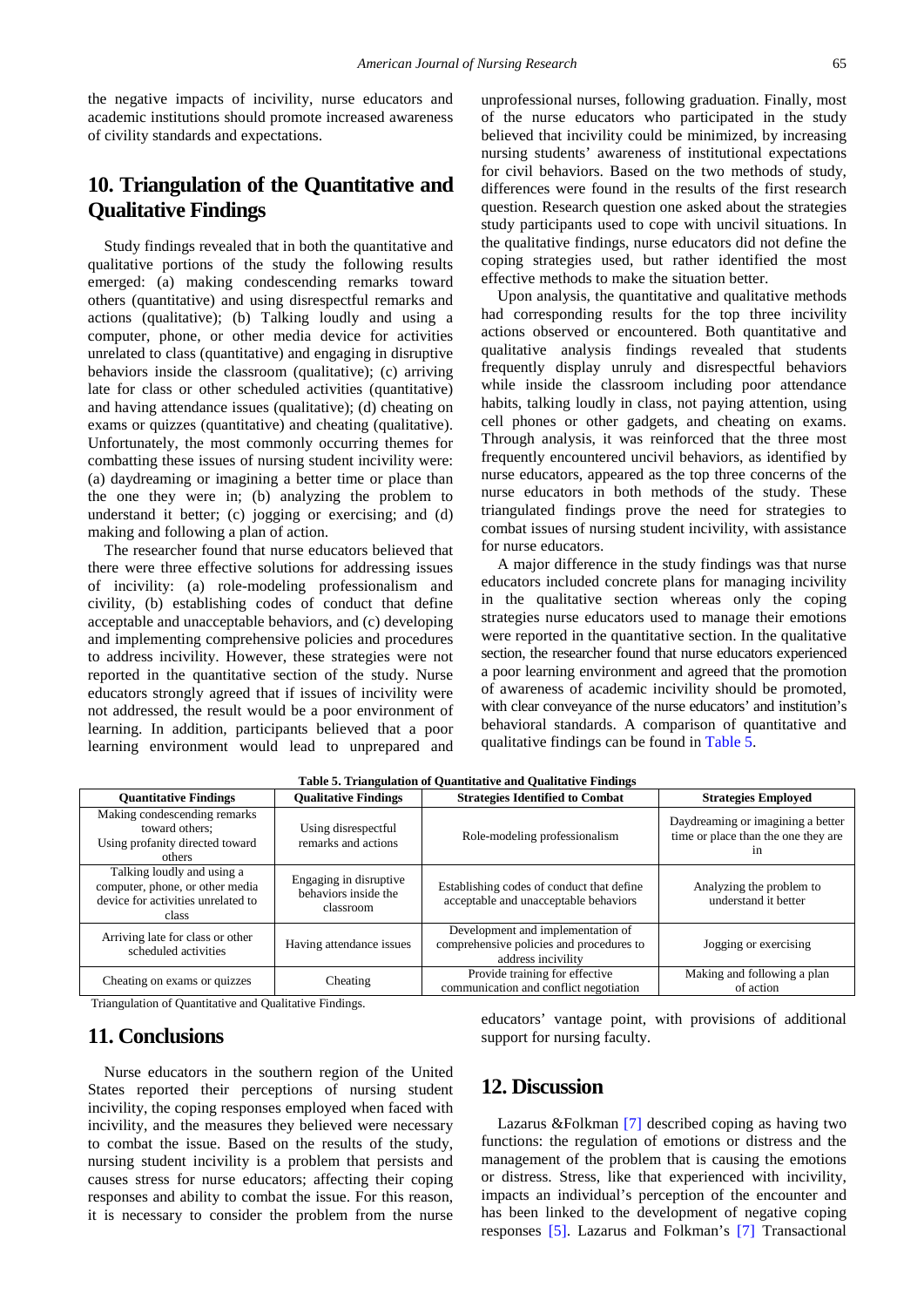the negative impacts of incivility, nurse educators and academic institutions should promote increased awareness of civility standards and expectations.

# **10. Triangulation of the Quantitative and Qualitative Findings**

Study findings revealed that in both the quantitative and qualitative portions of the study the following results emerged: (a) making condescending remarks toward others (quantitative) and using disrespectful remarks and actions (qualitative); (b) Talking loudly and using a computer, phone, or other media device for activities unrelated to class (quantitative) and engaging in disruptive behaviors inside the classroom (qualitative); (c) arriving late for class or other scheduled activities (quantitative) and having attendance issues (qualitative); (d) cheating on exams or quizzes (quantitative) and cheating (qualitative). Unfortunately, the most commonly occurring themes for combatting these issues of nursing student incivility were: (a) daydreaming or imagining a better time or place than the one they were in; (b) analyzing the problem to understand it better; (c) jogging or exercising; and (d) making and following a plan of action.

The researcher found that nurse educators believed that there were three effective solutions for addressing issues of incivility: (a) role-modeling professionalism and civility, (b) establishing codes of conduct that define acceptable and unacceptable behaviors, and (c) developing and implementing comprehensive policies and procedures to address incivility. However, these strategies were not reported in the quantitative section of the study. Nurse educators strongly agreed that if issues of incivility were not addressed, the result would be a poor environment of learning. In addition, participants believed that a poor learning environment would lead to unprepared and unprofessional nurses, following graduation. Finally, most of the nurse educators who participated in the study believed that incivility could be minimized, by increasing nursing students' awareness of institutional expectations for civil behaviors. Based on the two methods of study, differences were found in the results of the first research question. Research question one asked about the strategies study participants used to cope with uncivil situations. In the qualitative findings, nurse educators did not define the coping strategies used, but rather identified the most effective methods to make the situation better.

Upon analysis, the quantitative and qualitative methods had corresponding results for the top three incivility actions observed or encountered. Both quantitative and qualitative analysis findings revealed that students frequently display unruly and disrespectful behaviors while inside the classroom including poor attendance habits, talking loudly in class, not paying attention, using cell phones or other gadgets, and cheating on exams. Through analysis, it was reinforced that the three most frequently encountered uncivil behaviors, as identified by nurse educators, appeared as the top three concerns of the nurse educators in both methods of the study. These triangulated findings prove the need for strategies to combat issues of nursing student incivility, with assistance for nurse educators.

A major difference in the study findings was that nurse educators included concrete plans for managing incivility in the qualitative section whereas only the coping strategies nurse educators used to manage their emotions were reported in the quantitative section. In the qualitative section, the researcher found that nurse educators experienced a poor learning environment and agreed that the promotion of awareness of academic incivility should be promoted, with clear conveyance of the nurse educators' and institution's behavioral standards. A comparison of quantitative and qualitative findings can be found i[n Table 5.](#page-9-0)

<span id="page-9-0"></span>

| <b>Quantitative Findings</b>                                                                                 | <b>Qualitative Findings</b>                                 | <b>Strategies Identified to Combat</b>                                                              | <b>Strategies Employed</b>                                                     |
|--------------------------------------------------------------------------------------------------------------|-------------------------------------------------------------|-----------------------------------------------------------------------------------------------------|--------------------------------------------------------------------------------|
| Making condescending remarks<br>toward others:<br>Using profanity directed toward<br>others                  | Using disrespectful<br>remarks and actions                  | Role-modeling professionalism                                                                       | Daydreaming or imagining a better<br>time or place than the one they are<br>1n |
| Talking loudly and using a<br>computer, phone, or other media<br>device for activities unrelated to<br>class | Engaging in disruptive<br>behaviors inside the<br>classroom | Establishing codes of conduct that define<br>acceptable and unacceptable behaviors                  | Analyzing the problem to<br>understand it better                               |
| Arriving late for class or other<br>scheduled activities                                                     | Having attendance issues                                    | Development and implementation of<br>comprehensive policies and procedures to<br>address incivility | Jogging or exercising                                                          |
| Cheating on exams or quizzes                                                                                 | Cheating                                                    | Provide training for effective<br>communication and conflict negotiation                            | Making and following a plan<br>of action                                       |

**Table 5. Triangulation of Quantitative and Qualitative Findings**

Triangulation of Quantitative and Qualitative Findings.

## **11. Conclusions**

Nurse educators in the southern region of the United States reported their perceptions of nursing student incivility, the coping responses employed when faced with incivility, and the measures they believed were necessary to combat the issue. Based on the results of the study, nursing student incivility is a problem that persists and causes stress for nurse educators; affecting their coping responses and ability to combat the issue. For this reason, it is necessary to consider the problem from the nurse

educators' vantage point, with provisions of additional support for nursing faculty.

# **12. Discussion**

Lazarus &Folkman [\[7\]](#page-11-3) described coping as having two functions: the regulation of emotions or distress and the management of the problem that is causing the emotions or distress. Stress, like that experienced with incivility, impacts an individual's perception of the encounter and has been linked to the development of negative coping responses [\[5\].](#page-11-1) Lazarus and Folkman's [\[7\]](#page-11-3) Transactional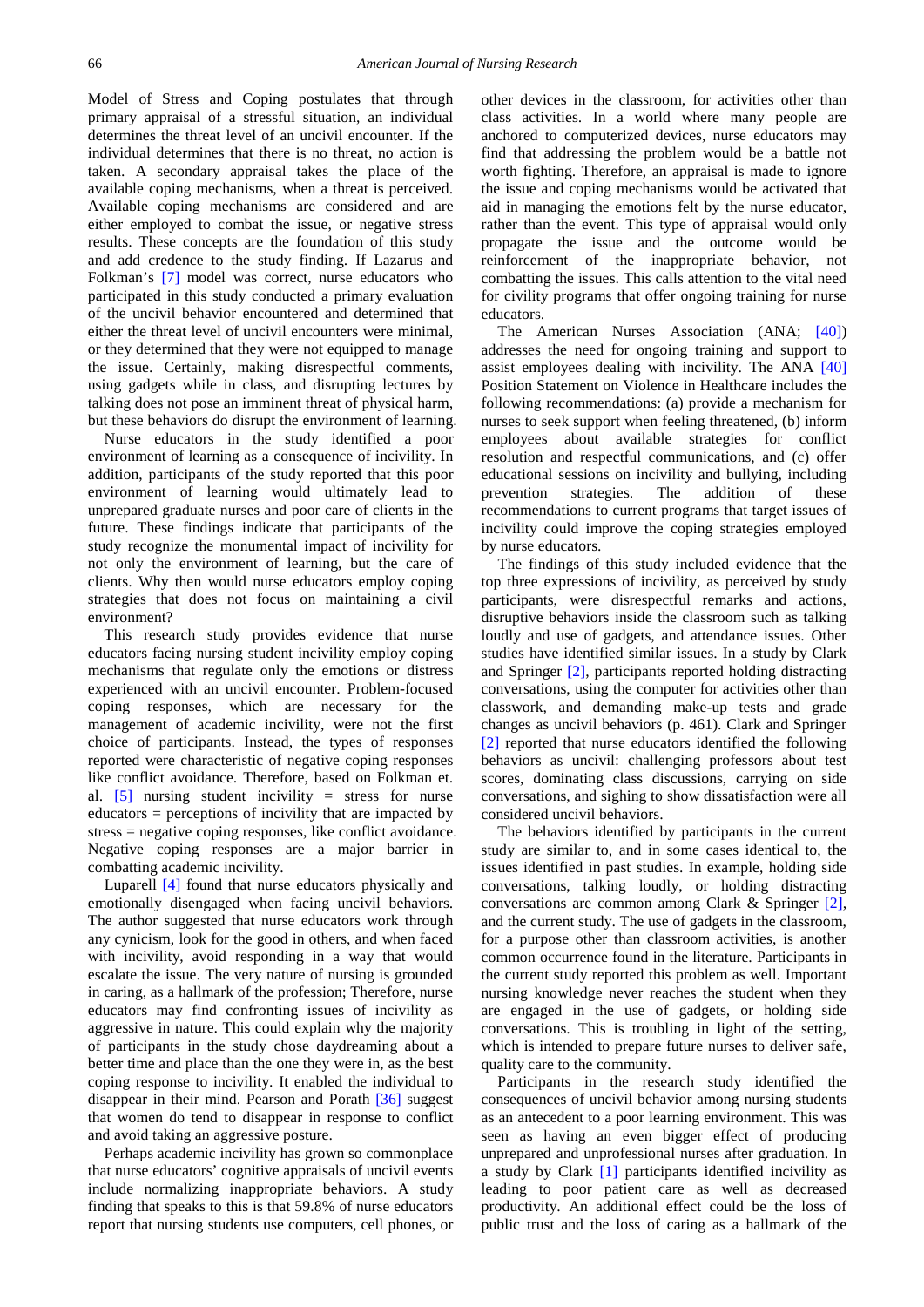Model of Stress and Coping postulates that through primary appraisal of a stressful situation, an individual determines the threat level of an uncivil encounter. If the individual determines that there is no threat, no action is taken. A secondary appraisal takes the place of the available coping mechanisms, when a threat is perceived. Available coping mechanisms are considered and are either employed to combat the issue, or negative stress results. These concepts are the foundation of this study and add credence to the study finding. If Lazarus and Folkman's [\[7\]](#page-11-3) model was correct, nurse educators who participated in this study conducted a primary evaluation of the uncivil behavior encountered and determined that either the threat level of uncivil encounters were minimal, or they determined that they were not equipped to manage the issue. Certainly, making disrespectful comments, using gadgets while in class, and disrupting lectures by talking does not pose an imminent threat of physical harm, but these behaviors do disrupt the environment of learning.

Nurse educators in the study identified a poor environment of learning as a consequence of incivility. In addition, participants of the study reported that this poor environment of learning would ultimately lead to unprepared graduate nurses and poor care of clients in the future. These findings indicate that participants of the study recognize the monumental impact of incivility for not only the environment of learning, but the care of clients. Why then would nurse educators employ coping strategies that does not focus on maintaining a civil environment?

This research study provides evidence that nurse educators facing nursing student incivility employ coping mechanisms that regulate only the emotions or distress experienced with an uncivil encounter. Problem-focused coping responses, which are necessary for the management of academic incivility, were not the first choice of participants. Instead, the types of responses reported were characteristic of negative coping responses like conflict avoidance. Therefore, based on Folkman et. al.  $\begin{bmatrix} 5 \end{bmatrix}$  nursing student incivility = stress for nurse educators = perceptions of incivility that are impacted by stress = negative coping responses, like conflict avoidance. Negative coping responses are a major barrier in combatting academic incivility.

Luparell [\[4\]](#page-11-9) found that nurse educators physically and emotionally disengaged when facing uncivil behaviors. The author suggested that nurse educators work through any cynicism, look for the good in others, and when faced with incivility, avoid responding in a way that would escalate the issue. The very nature of nursing is grounded in caring, as a hallmark of the profession; Therefore, nurse educators may find confronting issues of incivility as aggressive in nature. This could explain why the majority of participants in the study chose daydreaming about a better time and place than the one they were in, as the best coping response to incivility. It enabled the individual to disappear in their mind. Pearson and Porath [\[36\]](#page-12-5) suggest that women do tend to disappear in response to conflict and avoid taking an aggressive posture.

Perhaps academic incivility has grown so commonplace that nurse educators' cognitive appraisals of uncivil events include normalizing inappropriate behaviors. A study finding that speaks to this is that 59.8% of nurse educators report that nursing students use computers, cell phones, or other devices in the classroom, for activities other than class activities. In a world where many people are anchored to computerized devices, nurse educators may find that addressing the problem would be a battle not worth fighting. Therefore, an appraisal is made to ignore the issue and coping mechanisms would be activated that aid in managing the emotions felt by the nurse educator, rather than the event. This type of appraisal would only propagate the issue and the outcome would be reinforcement of the inappropriate behavior, not combatting the issues. This calls attention to the vital need for civility programs that offer ongoing training for nurse educators.

The American Nurses Association (ANA; [\[40\]\)](#page-12-9) addresses the need for ongoing training and support to assist employees dealing with incivility. The ANA [\[40\]](#page-12-9) Position Statement on Violence in Healthcare includes the following recommendations: (a) provide a mechanism for nurses to seek support when feeling threatened, (b) inform employees about available strategies for conflict resolution and respectful communications, and (c) offer educational sessions on incivility and bullying, including prevention strategies. The addition of these recommendations to current programs that target issues of incivility could improve the coping strategies employed by nurse educators.

The findings of this study included evidence that the top three expressions of incivility, as perceived by study participants, were disrespectful remarks and actions, disruptive behaviors inside the classroom such as talking loudly and use of gadgets, and attendance issues. Other studies have identified similar issues. In a study by Clark and Springer [\[2\],](#page-11-8) participants reported holding distracting conversations, using the computer for activities other than classwork, and demanding make-up tests and grade changes as uncivil behaviors (p. 461). Clark and Springer [\[2\]](#page-11-8) reported that nurse educators identified the following behaviors as uncivil: challenging professors about test scores, dominating class discussions, carrying on side conversations, and sighing to show dissatisfaction were all considered uncivil behaviors.

The behaviors identified by participants in the current study are similar to, and in some cases identical to, the issues identified in past studies. In example, holding side conversations, talking loudly, or holding distracting conversations are common among Clark & Springer [\[2\],](#page-11-8) and the current study. The use of gadgets in the classroom, for a purpose other than classroom activities, is another common occurrence found in the literature. Participants in the current study reported this problem as well. Important nursing knowledge never reaches the student when they are engaged in the use of gadgets, or holding side conversations. This is troubling in light of the setting, which is intended to prepare future nurses to deliver safe. quality care to the community.

Participants in the research study identified the consequences of uncivil behavior among nursing students as an antecedent to a poor learning environment. This was seen as having an even bigger effect of producing unprepared and unprofessional nurses after graduation. In a study by Clark [\[1\]](#page-11-0) participants identified incivility as leading to poor patient care as well as decreased productivity. An additional effect could be the loss of public trust and the loss of caring as a hallmark of the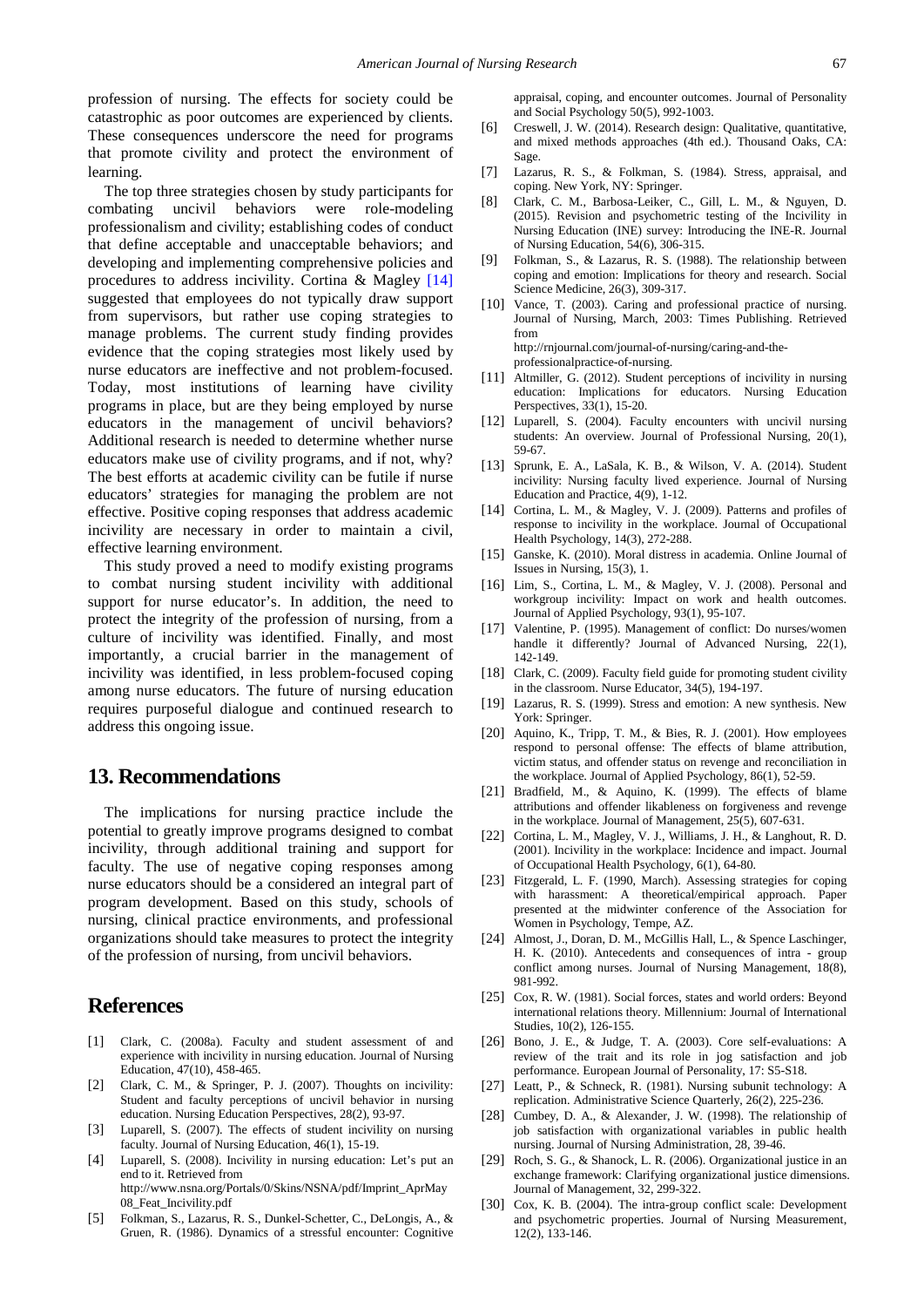profession of nursing. The effects for society could be catastrophic as poor outcomes are experienced by clients. These consequences underscore the need for programs that promote civility and protect the environment of learning.

The top three strategies chosen by study participants for combating uncivil behaviors were role-modeling professionalism and civility; establishing codes of conduct that define acceptable and unacceptable behaviors; and developing and implementing comprehensive policies and procedures to address incivility. Cortina & Magley [\[14\]](#page-11-15) suggested that employees do not typically draw support from supervisors, but rather use coping strategies to manage problems. The current study finding provides evidence that the coping strategies most likely used by nurse educators are ineffective and not problem-focused. Today, most institutions of learning have civility programs in place, but are they being employed by nurse educators in the management of uncivil behaviors? Additional research is needed to determine whether nurse educators make use of civility programs, and if not, why? The best efforts at academic civility can be futile if nurse educators' strategies for managing the problem are not effective. Positive coping responses that address academic incivility are necessary in order to maintain a civil, effective learning environment.

This study proved a need to modify existing programs to combat nursing student incivility with additional support for nurse educator's. In addition, the need to protect the integrity of the profession of nursing, from a culture of incivility was identified. Finally, and most importantly, a crucial barrier in the management of incivility was identified, in less problem-focused coping among nurse educators. The future of nursing education requires purposeful dialogue and continued research to address this ongoing issue.

## **13. Recommendations**

The implications for nursing practice include the potential to greatly improve programs designed to combat incivility, through additional training and support for faculty. The use of negative coping responses among nurse educators should be a considered an integral part of program development. Based on this study, schools of nursing, clinical practice environments, and professional organizations should take measures to protect the integrity of the profession of nursing, from uncivil behaviors.

### **References**

- <span id="page-11-0"></span>[1] Clark, C. (2008a). Faculty and student assessment of and experience with incivility in nursing education. Journal of Nursing Education, 47(10), 458-465.
- <span id="page-11-8"></span>[2] Clark, C. M., & Springer, P. J. (2007). Thoughts on incivility: Student and faculty perceptions of uncivil behavior in nursing education. Nursing Education Perspectives, 28(2), 93-97.
- [3] Luparell, S. (2007). The effects of student incivility on nursing faculty. Journal of Nursing Education, 46(1), 15-19.
- <span id="page-11-9"></span>[4] Luparell, S. (2008). Incivility in nursing education: Let's put an end to it. Retrieved from http://www.nsna.org/Portals/0/Skins/NSNA/pdf/Imprint\_AprMay 08\_Feat\_Incivility.pdf
- <span id="page-11-1"></span>[5] Folkman, S., Lazarus, R. S., Dunkel-Schetter, C., DeLongis, A., & Gruen, R. (1986). Dynamics of a stressful encounter: Cognitive

appraisal, coping, and encounter outcomes. Journal of Personality and Social Psychology 50(5), 992-1003.

- <span id="page-11-2"></span>[6] Creswell, J. W. (2014). Research design: Qualitative, quantitative, and mixed methods approaches (4th ed.). Thousand Oaks, CA: Sage.
- <span id="page-11-3"></span>[7] Lazarus, R. S., & Folkman, S. (1984). Stress, appraisal, and coping. New York, NY: Springer.
- <span id="page-11-4"></span>[8] Clark, C. M., Barbosa-Leiker, C., Gill, L. M., & Nguyen, D. (2015). Revision and psychometric testing of the Incivility in Nursing Education (INE) survey: Introducing the INE-R. Journal of Nursing Education, 54(6), 306-315.
- <span id="page-11-5"></span>[9] Folkman, S., & Lazarus, R. S. (1988). The relationship between coping and emotion: Implications for theory and research. Social Science Medicine, 26(3), 309-317.
- <span id="page-11-6"></span>[10] Vance, T. (2003). Caring and professional practice of nursing. Journal of Nursing, March, 2003: Times Publishing. Retrieved from http://rnjournal.com/journal-of-nursing/caring-and-theprofessionalpractice-of-nursing.
- <span id="page-11-7"></span>[11] Altmiller, G. (2012). Student perceptions of incivility in nursing education: Implications for educators. Nursing Education Perspectives, 33(1), 15-20.
- [12] Luparell, S. (2004). Faculty encounters with uncivil nursing students: An overview. Journal of Professional Nursing, 20(1), 59-67.
- <span id="page-11-11"></span>[13] Sprunk, E. A., LaSala, K. B., & Wilson, V. A. (2014). Student incivility: Nursing faculty lived experience. Journal of Nursing Education and Practice, 4(9), 1-12.
- <span id="page-11-15"></span>[14] Cortina, L. M., & Magley, V. J. (2009). Patterns and profiles of response to incivility in the workplace. Journal of Occupational Health Psychology, 14(3), 272-288.
- [15] Ganske, K. (2010). Moral distress in academia. Online Journal of Issues in Nursing, 15(3), 1.
- [16] Lim, S., Cortina, L. M., & Magley, V. J. (2008). Personal and workgroup incivility: Impact on work and health outcomes. Journal of Applied Psychology, 93(1), 95-107.
- <span id="page-11-10"></span>[17] Valentine, P. (1995). Management of conflict: Do nurses/women handle it differently? Journal of Advanced Nursing, 22(1), 142-149.
- <span id="page-11-12"></span>[18] Clark, C. (2009). Faculty field guide for promoting student civility in the classroom. Nurse Educator, 34(5), 194-197.
- <span id="page-11-13"></span>[19] Lazarus, R. S. (1999). Stress and emotion: A new synthesis. New York: Springer.
- <span id="page-11-14"></span>[20] Aquino, K., Tripp, T. M., & Bies, R. J. (2001). How employees respond to personal offense: The effects of blame attribution, victim status, and offender status on revenge and reconciliation in the workplace. Journal of Applied Psychology, 86(1), 52-59.
- [21] Bradfield, M., & Aquino, K. (1999). The effects of blame attributions and offender likableness on forgiveness and revenge in the workplace. Journal of Management, 25(5), 607-631.
- <span id="page-11-16"></span>[22] Cortina, L. M., Magley, V. J., Williams, J. H., & Langhout, R. D. (2001). Incivility in the workplace: Incidence and impact. Journal of Occupational Health Psychology, 6(1), 64-80.
- <span id="page-11-17"></span>[23] Fitzgerald, L. F. (1990, March). Assessing strategies for coping with harassment: A theoretical/empirical approach. Paper presented at the midwinter conference of the Association for Women in Psychology, Tempe, AZ.
- <span id="page-11-18"></span>[24] Almost, J., Doran, D. M., McGillis Hall, L., & Spence Laschinger, H. K. (2010). Antecedents and consequences of intra - group conflict among nurses. Journal of Nursing Management, 18(8), 981-992.
- <span id="page-11-19"></span>[25] Cox, R. W. (1981). Social forces, states and world orders: Beyond international relations theory. Millennium: Journal of International Studies, 10(2), 126-155.
- <span id="page-11-20"></span>[26] Bono, J. E., & Judge, T. A. (2003). Core self-evaluations: A review of the trait and its role in jog satisfaction and job performance. European Journal of Personality, 17: S5-S18.
- <span id="page-11-21"></span>[27] Leatt, P., & Schneck, R. (1981). Nursing subunit technology: A replication. Administrative Science Quarterly, 26(2), 225-236.
- <span id="page-11-22"></span>[28] Cumbey, D. A., & Alexander, J. W. (1998). The relationship of job satisfaction with organizational variables in public health nursing. Journal of Nursing Administration, 28, 39-46.
- <span id="page-11-23"></span>[29] Roch, S. G., & Shanock, L. R. (2006). Organizational justice in an exchange framework: Clarifying organizational justice dimensions. Journal of Management, 32, 299-322.
- <span id="page-11-24"></span>[30] Cox, K. B. (2004). The intra-group conflict scale: Development and psychometric properties. Journal of Nursing Measurement, 12(2), 133-146.